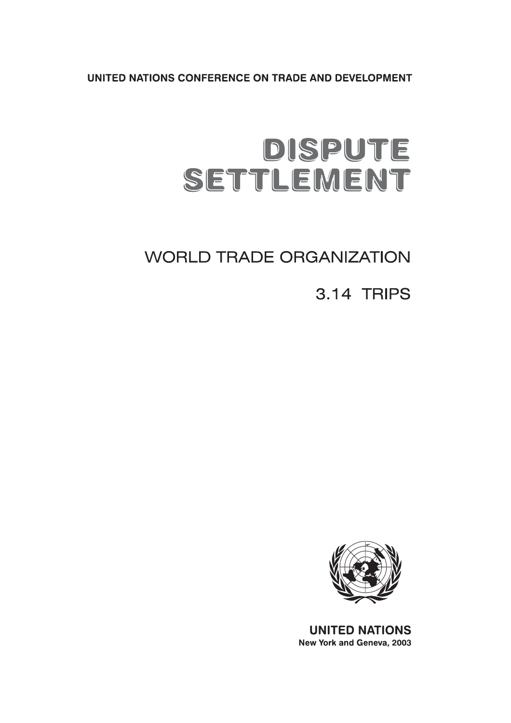UNITED NATIONS CONFERENCE ON TRADE AND DEVELOPMENT

# DISPUTE SETTLEMENT

## **WORLD TRADE ORGANIZATION**

## **3.14 TRIPS**



**UNITED NATIONS** New York and Geneva, 2003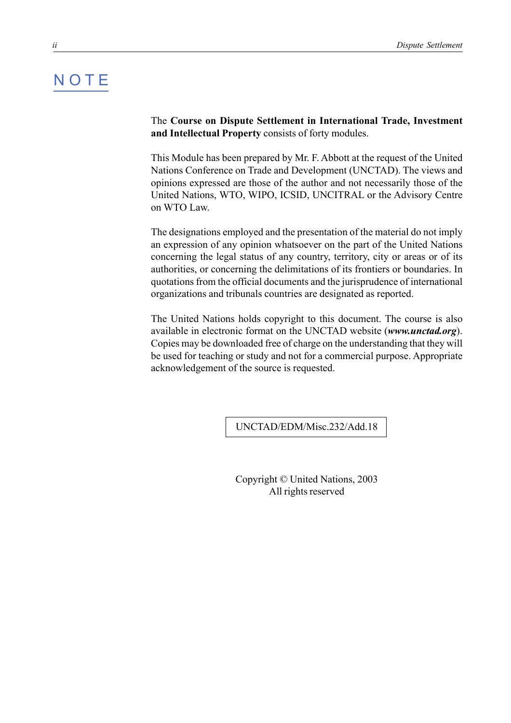## **NOTE**

The **Course on Dispute Settlement in International Trade, Investment and Intellectual Property** consists of forty modules.

This Module has been prepared by Mr. F. Abbott at the request of the United Nations Conference on Trade and Development (UNCTAD). The views and opinions expressed are those of the author and not necessarily those of the United Nations, WTO, WIPO, ICSID, UNCITRAL or the Advisory Centre on WTO Law.

The designations employed and the presentation of the material do not imply an expression of any opinion whatsoever on the part of the United Nations concerning the legal status of any country, territory, city or areas or of its authorities, or concerning the delimitations of its frontiers or boundaries. In quotations from the official documents and the jurisprudence of international organizations and tribunals countries are designated as reported.

The United Nations holds copyright to this document. The course is also available in electronic format on the UNCTAD website (*www.unctad.org*). Copies may be downloaded free of charge on the understanding that they will be used for teaching or study and not for a commercial purpose. Appropriate acknowledgement of the source is requested.

UNCTAD/EDM/Misc.232/Add.18

Copyright © United Nations, 2003 All rights reserved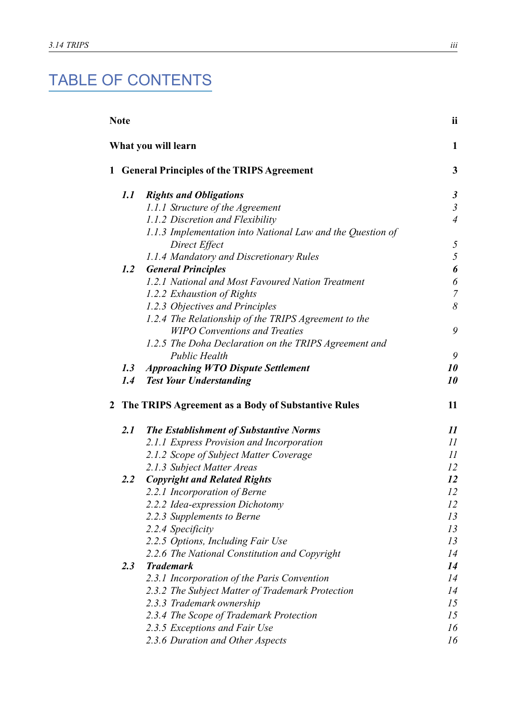## TABLE OF CONTENTS

| <b>Note</b>         |                                             |                                                            | ii             |  |
|---------------------|---------------------------------------------|------------------------------------------------------------|----------------|--|
| What you will learn |                                             |                                                            |                |  |
|                     | 1 General Principles of the TRIPS Agreement |                                                            | 3              |  |
|                     | 1.1                                         | <b>Rights and Obligations</b>                              | $\mathfrak{z}$ |  |
|                     |                                             | 1.1.1 Structure of the Agreement                           | $\mathfrak{Z}$ |  |
|                     |                                             | 1.1.2 Discretion and Flexibility                           | $\overline{4}$ |  |
|                     |                                             | 1.1.3 Implementation into National Law and the Question of |                |  |
|                     |                                             | Direct Effect                                              | 5              |  |
|                     |                                             | 1.1.4 Mandatory and Discretionary Rules                    | 5              |  |
|                     | 1.2                                         | <b>General Principles</b>                                  | 6              |  |
|                     |                                             | 1.2.1 National and Most Favoured Nation Treatment          | 6              |  |
|                     |                                             | 1.2.2 Exhaustion of Rights                                 | $\overline{7}$ |  |
|                     |                                             | 1.2.3 Objectives and Principles                            | 8              |  |
|                     |                                             | 1.2.4 The Relationship of the TRIPS Agreement to the       |                |  |
|                     |                                             | <b>WIPO Conventions and Treaties</b>                       | 9              |  |
|                     |                                             | 1.2.5 The Doha Declaration on the TRIPS Agreement and      |                |  |
|                     |                                             | <b>Public Health</b>                                       | 9              |  |
|                     | 1.3                                         | <b>Approaching WTO Dispute Settlement</b>                  | 10             |  |
|                     | 1.4                                         | <b>Test Your Understanding</b>                             | 10             |  |
|                     |                                             | 2 The TRIPS Agreement as a Body of Substantive Rules       | 11             |  |
|                     | 2.1                                         | <b>The Establishment of Substantive Norms</b>              | 11             |  |
|                     |                                             | 2.1.1 Express Provision and Incorporation                  | 11             |  |
|                     |                                             | 2.1.2 Scope of Subject Matter Coverage                     | II             |  |
|                     |                                             | 2.1.3 Subject Matter Areas                                 | 12             |  |
|                     | 2.2                                         | <b>Copyright and Related Rights</b>                        | 12             |  |
|                     |                                             | 2.2.1 Incorporation of Berne                               | 12             |  |
|                     |                                             | 2.2.2 Idea-expression Dichotomy                            | 12             |  |
|                     |                                             | 2.2.3 Supplements to Berne                                 | 13             |  |
|                     |                                             | 2.2.4 Specificity                                          | 13             |  |
|                     |                                             | 2.2.5 Options, Including Fair Use                          | 13             |  |
|                     |                                             | 2.2.6 The National Constitution and Copyright              | 14             |  |
|                     | 2.3                                         | <b>Trademark</b>                                           | 14             |  |
|                     |                                             | 2.3.1 Incorporation of the Paris Convention                | 14             |  |
|                     |                                             | 2.3.2 The Subject Matter of Trademark Protection           | 14             |  |
|                     |                                             | 2.3.3 Trademark ownership                                  | 15             |  |
|                     |                                             | 2.3.4 The Scope of Trademark Protection                    | 15             |  |
|                     |                                             | 2.3.5 Exceptions and Fair Use                              | 16             |  |
|                     |                                             | 2.3.6 Duration and Other Aspects                           | 16             |  |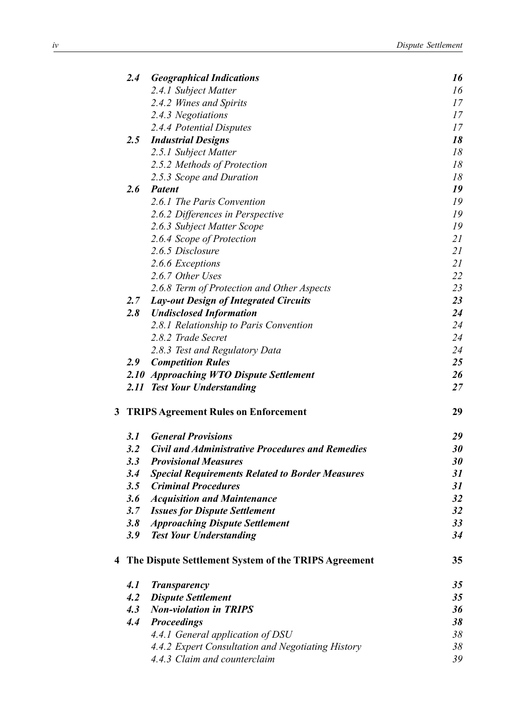| 2.4        | <b>Geographical Indications</b>                         | 16 |
|------------|---------------------------------------------------------|----|
|            | 2.4.1 Subject Matter                                    | 16 |
|            | 2.4.2 Wines and Spirits                                 | 17 |
|            | 2.4.3 Negotiations                                      | 17 |
|            | 2.4.4 Potential Disputes                                | 17 |
| 2.5        | <b>Industrial Designs</b>                               | 18 |
|            | 2.5.1 Subject Matter                                    | 18 |
|            | 2.5.2 Methods of Protection                             | 18 |
|            | 2.5.3 Scope and Duration                                | 18 |
| 2.6        | <b>Patent</b>                                           | 19 |
|            | 2.6.1 The Paris Convention                              | 19 |
|            | 2.6.2 Differences in Perspective                        | 19 |
|            | 2.6.3 Subject Matter Scope                              | 19 |
|            | 2.6.4 Scope of Protection                               | 21 |
|            | 2.6.5 Disclosure                                        | 21 |
|            | 2.6.6 Exceptions                                        | 21 |
|            | 2.6.7 Other Uses                                        | 22 |
|            | 2.6.8 Term of Protection and Other Aspects              | 23 |
| 2.7        | <b>Lay-out Design of Integrated Circuits</b>            | 23 |
| 2.8        | <b>Undisclosed Information</b>                          | 24 |
|            | 2.8.1 Relationship to Paris Convention                  | 24 |
|            | 2.8.2 Trade Secret                                      | 24 |
|            | 2.8.3 Test and Regulatory Data                          | 24 |
| 2.9        | <b>Competition Rules</b>                                | 25 |
|            | 2.10 Approaching WTO Dispute Settlement                 | 26 |
|            | 2.11 Test Your Understanding                            | 27 |
|            | 3 TRIPS Agreement Rules on Enforcement                  | 29 |
| 3.1        | <b>General Provisions</b>                               | 29 |
| 3.2        | <b>Civil and Administrative Procedures and Remedies</b> | 30 |
| <i>3.3</i> | <b>Provisional Measures</b>                             | 30 |
| 3.4        | <b>Special Requirements Related to Border Measures</b>  | 31 |
| 3.5        | <b>Criminal Procedures</b>                              | 31 |
| 3.6        | <b>Acquisition and Maintenance</b>                      | 32 |
| 3.7        | <b>Issues for Dispute Settlement</b>                    | 32 |
| 3.8        | <b>Approaching Dispute Settlement</b>                   | 33 |
| 3.9        | <b>Test Your Understanding</b>                          | 34 |
|            | 4 The Dispute Settlement System of the TRIPS Agreement  | 35 |
| 4.1        | <b>Transparency</b>                                     | 35 |
| 4.2        | <b>Dispute Settlement</b>                               | 35 |
| 4.3        | <b>Non-violation in TRIPS</b>                           | 36 |
| 4.4        | <b>Proceedings</b>                                      | 38 |
|            | 4.4.1 General application of DSU                        | 38 |
|            | 4.4.2 Expert Consultation and Negotiating History       | 38 |
|            | 4.4.3 Claim and counterclaim                            | 39 |
|            |                                                         |    |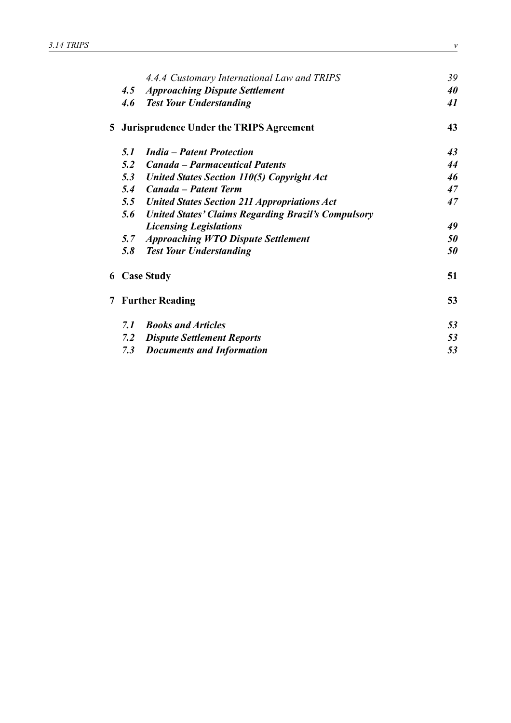|  |                                           | 4.4.4 Customary International Law and TRIPS                | 39 |
|--|-------------------------------------------|------------------------------------------------------------|----|
|  | 4.5                                       | <b>Approaching Dispute Settlement</b>                      | 40 |
|  | 4.6                                       | <b>Test Your Understanding</b>                             | 41 |
|  | 5 Jurisprudence Under the TRIPS Agreement |                                                            |    |
|  | 5.1                                       | <b>India – Patent Protection</b>                           | 43 |
|  | 5.2                                       | <b>Canada – Parmaceutical Patents</b>                      | 44 |
|  | 5.3                                       | United States Section 110(5) Copyright Act                 | 46 |
|  | 5.4                                       | Canada – Patent Term                                       | 47 |
|  | 5.5                                       | <b>United States Section 211 Appropriations Act</b>        | 47 |
|  | 5.6                                       | <b>United States' Claims Regarding Brazil's Compulsory</b> |    |
|  |                                           | <b>Licensing Legislations</b>                              | 49 |
|  | 5.7                                       | <b>Approaching WTO Dispute Settlement</b>                  | 50 |
|  | 5.8                                       | <b>Test Your Understanding</b>                             | 50 |
|  |                                           | <b>6</b> Case Study                                        | 51 |
|  | <b>7 Further Reading</b>                  |                                                            | 53 |
|  | 7.1                                       | <b>Books and Articles</b>                                  | 53 |
|  | 7.2                                       | <b>Dispute Settlement Reports</b>                          | 53 |
|  | 7.3                                       | <b>Documents and Information</b>                           | 53 |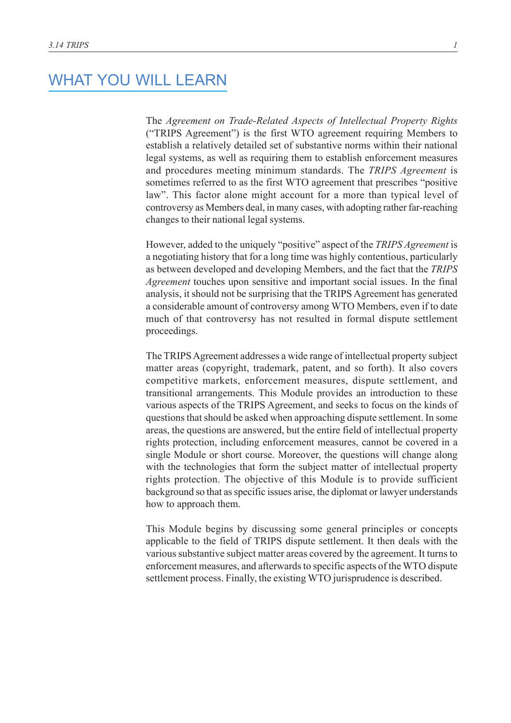### WHAT YOU WILL LEARN

The *Agreement on Trade-Related Aspects of Intellectual Property Rights* ("TRIPS Agreement") is the first WTO agreement requiring Members to establish a relatively detailed set of substantive norms within their national legal systems, as well as requiring them to establish enforcement measures and procedures meeting minimum standards. The *TRIPS Agreement* is sometimes referred to as the first WTO agreement that prescribes "positive law". This factor alone might account for a more than typical level of controversy as Members deal, in many cases, with adopting rather far-reaching changes to their national legal systems.

However, added to the uniquely "positive" aspect of the *TRIPS Agreement* is a negotiating history that for a long time was highly contentious, particularly as between developed and developing Members, and the fact that the *TRIPS Agreement* touches upon sensitive and important social issues. In the final analysis, it should not be surprising that the TRIPS Agreement has generated a considerable amount of controversy among WTO Members, even if to date much of that controversy has not resulted in formal dispute settlement proceedings.

The TRIPS Agreement addresses a wide range of intellectual property subject matter areas (copyright, trademark, patent, and so forth). It also covers competitive markets, enforcement measures, dispute settlement, and transitional arrangements. This Module provides an introduction to these various aspects of the TRIPS Agreement, and seeks to focus on the kinds of questions that should be asked when approaching dispute settlement. In some areas, the questions are answered, but the entire field of intellectual property rights protection, including enforcement measures, cannot be covered in a single Module or short course. Moreover, the questions will change along with the technologies that form the subject matter of intellectual property rights protection. The objective of this Module is to provide sufficient background so that as specific issues arise, the diplomat or lawyer understands how to approach them.

This Module begins by discussing some general principles or concepts applicable to the field of TRIPS dispute settlement. It then deals with the various substantive subject matter areas covered by the agreement. It turns to enforcement measures, and afterwards to specific aspects of the WTO dispute settlement process. Finally, the existing WTO jurisprudence is described.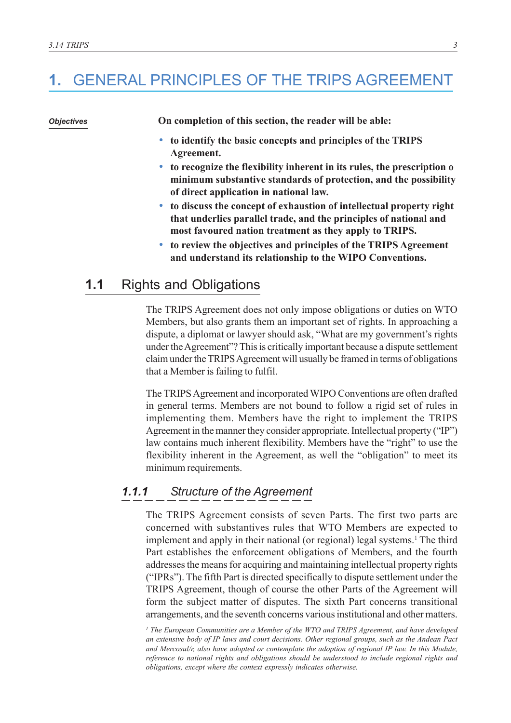## **1.** GENERAL PRINCIPLES OF THE TRIPS AGREEMENT

*Objectives*

**On completion of this section, the reader will be able:**

- **to identify the basic concepts and principles of the TRIPS Agreement.**
- **to recognize the flexibility inherent in its rules, the prescription o minimum substantive standards of protection, and the possibility of direct application in national law.**
- **to discuss the concept of exhaustion of intellectual property right that underlies parallel trade, and the principles of national and most favoured nation treatment as they apply to TRIPS.**
- **to review the objectives and principles of the TRIPS Agreement and understand its relationship to the WIPO Conventions.**

### **1.1** Rights and Obligations

The TRIPS Agreement does not only impose obligations or duties on WTO Members, but also grants them an important set of rights. In approaching a dispute, a diplomat or lawyer should ask, "What are my government's rights under the Agreement"? This is critically important because a dispute settlement claim under the TRIPS Agreement will usually be framed in terms of obligations that a Member is failing to fulfil.

The TRIPS Agreement and incorporated WIPO Conventions are often drafted in general terms. Members are not bound to follow a rigid set of rules in implementing them. Members have the right to implement the TRIPS Agreement in the manner they consider appropriate. Intellectual property ("IP") law contains much inherent flexibility. Members have the "right" to use the flexibility inherent in the Agreement, as well the "obligation" to meet its minimum requirements.

### *1.1.1 Structure of the Agreement*

The TRIPS Agreement consists of seven Parts. The first two parts are concerned with substantives rules that WTO Members are expected to implement and apply in their national (or regional) legal systems.<sup>1</sup> The third Part establishes the enforcement obligations of Members, and the fourth addresses the means for acquiring and maintaining intellectual property rights ("IPRs"). The fifth Part is directed specifically to dispute settlement under the TRIPS Agreement, though of course the other Parts of the Agreement will form the subject matter of disputes. The sixth Part concerns transitional arrangements, and the seventh concerns various institutional and other matters.

*<sup>1</sup> The European Communities are a Member of the WTO and TRIPS Agreement, and have developed an extensive body of IP laws and court decisions. Other regional groups, such as the Andean Pact and Mercosul/r, also have adopted or contemplate the adoption of regional IP law. In this Module, reference to national rights and obligations should be understood to include regional rights and obligations, except where the context expressly indicates otherwise.*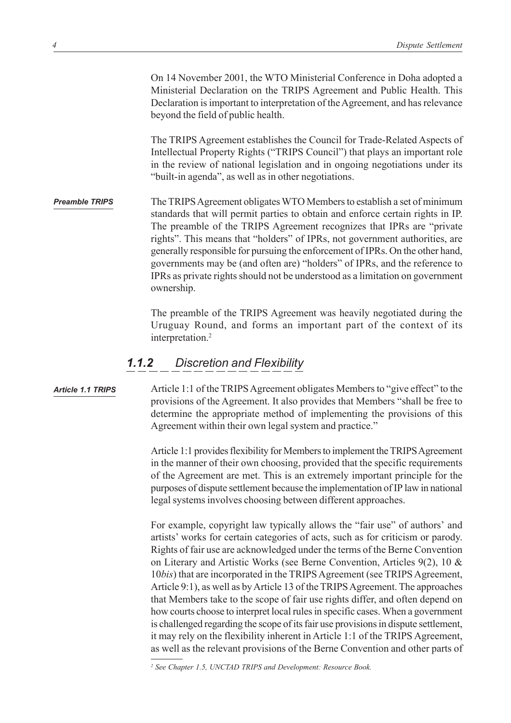On 14 November 2001, the WTO Ministerial Conference in Doha adopted a Ministerial Declaration on the TRIPS Agreement and Public Health. This Declaration is important to interpretation of the Agreement, and has relevance beyond the field of public health.

The TRIPS Agreement establishes the Council for Trade-Related Aspects of Intellectual Property Rights ("TRIPS Council") that plays an important role in the review of national legislation and in ongoing negotiations under its "built-in agenda", as well as in other negotiations.

The TRIPS Agreement obligates WTO Members to establish a set of minimum standards that will permit parties to obtain and enforce certain rights in IP. The preamble of the TRIPS Agreement recognizes that IPRs are "private rights". This means that "holders" of IPRs, not government authorities, are generally responsible for pursuing the enforcement of IPRs. On the other hand, governments may be (and often are) "holders" of IPRs, and the reference to IPRs as private rights should not be understood as a limitation on government ownership. *Preamble TRIPS*

> The preamble of the TRIPS Agreement was heavily negotiated during the Uruguay Round, and forms an important part of the context of its interpretation.2

### *1.1.2 Discretion and Flexibility*

#### *Article 1.1 TRIPS*

Article 1:1 of the TRIPS Agreement obligates Members to "give effect" to the provisions of the Agreement. It also provides that Members "shall be free to determine the appropriate method of implementing the provisions of this Agreement within their own legal system and practice."

Article 1:1 provides flexibility for Members to implement the TRIPS Agreement in the manner of their own choosing, provided that the specific requirements of the Agreement are met. This is an extremely important principle for the purposes of dispute settlement because the implementation of IP law in national legal systems involves choosing between different approaches.

For example, copyright law typically allows the "fair use" of authors' and artists' works for certain categories of acts, such as for criticism or parody. Rights of fair use are acknowledged under the terms of the Berne Convention on Literary and Artistic Works (see Berne Convention, Articles 9(2), 10 & 10*bis*) that are incorporated in the TRIPS Agreement (see TRIPS Agreement, Article 9:1), as well as by Article 13 of the TRIPS Agreement. The approaches that Members take to the scope of fair use rights differ, and often depend on how courts choose to interpret local rules in specific cases. When a government is challenged regarding the scope of its fair use provisions in dispute settlement, it may rely on the flexibility inherent in Article 1:1 of the TRIPS Agreement, as well as the relevant provisions of the Berne Convention and other parts of

*<sup>2</sup> See Chapter 1.5, UNCTAD TRIPS and Development: Resource Book.*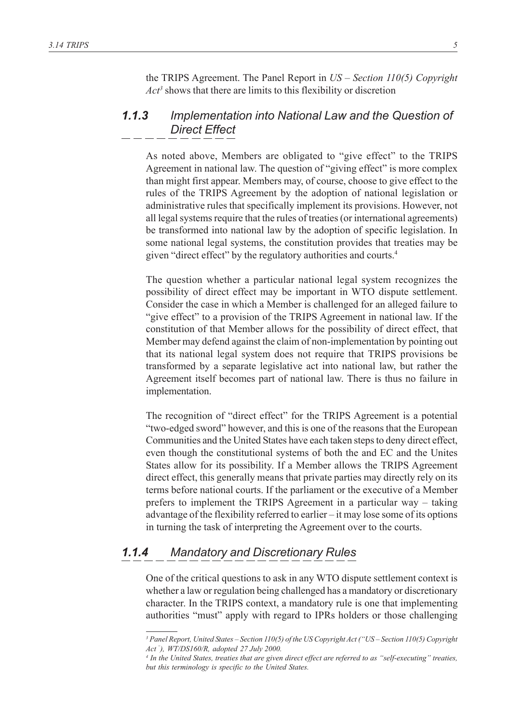the TRIPS Agreement. The Panel Report in *US – Section 110(5) Copyright Act3* shows that there are limits to this flexibility or discretion

### *1.1.3 Implementation into National Law and the Question of Direct Effect*

As noted above, Members are obligated to "give effect" to the TRIPS Agreement in national law. The question of "giving effect" is more complex than might first appear. Members may, of course, choose to give effect to the rules of the TRIPS Agreement by the adoption of national legislation or administrative rules that specifically implement its provisions. However, not all legal systems require that the rules of treaties (or international agreements) be transformed into national law by the adoption of specific legislation. In some national legal systems, the constitution provides that treaties may be given "direct effect" by the regulatory authorities and courts.<sup>4</sup>

The question whether a particular national legal system recognizes the possibility of direct effect may be important in WTO dispute settlement. Consider the case in which a Member is challenged for an alleged failure to "give effect" to a provision of the TRIPS Agreement in national law. If the constitution of that Member allows for the possibility of direct effect, that Member may defend against the claim of non-implementation by pointing out that its national legal system does not require that TRIPS provisions be transformed by a separate legislative act into national law, but rather the Agreement itself becomes part of national law. There is thus no failure in implementation.

The recognition of "direct effect" for the TRIPS Agreement is a potential "two-edged sword" however, and this is one of the reasons that the European Communities and the United States have each taken steps to deny direct effect, even though the constitutional systems of both the and EC and the Unites States allow for its possibility. If a Member allows the TRIPS Agreement direct effect, this generally means that private parties may directly rely on its terms before national courts. If the parliament or the executive of a Member prefers to implement the TRIPS Agreement in a particular way – taking advantage of the flexibility referred to earlier – it may lose some of its options in turning the task of interpreting the Agreement over to the courts.

### *1.1.4 Mandatory and Discretionary Rules*

One of the critical questions to ask in any WTO dispute settlement context is whether a law or regulation being challenged has a mandatory or discretionary character. In the TRIPS context, a mandatory rule is one that implementing authorities "must" apply with regard to IPRs holders or those challenging

*<sup>3</sup> Panel Report, United States – Section 110(5) of the US Copyright Act ("US – Section 110(5) Copyright Act "), WT/DS160/R, adopted 27 July 2000.*

*<sup>4</sup> In the United States, treaties that are given direct effect are referred to as "self-executing" treaties, but this terminology is specific to the United States.*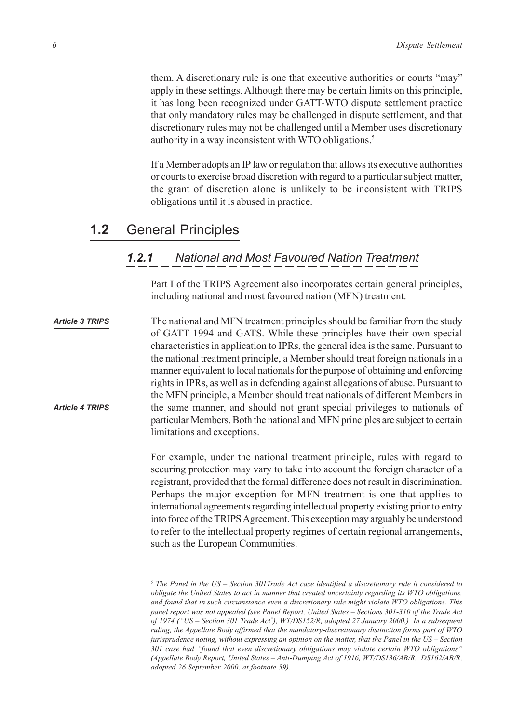them. A discretionary rule is one that executive authorities or courts "may" apply in these settings. Although there may be certain limits on this principle, it has long been recognized under GATT-WTO dispute settlement practice that only mandatory rules may be challenged in dispute settlement, and that discretionary rules may not be challenged until a Member uses discretionary authority in a way inconsistent with WTO obligations.5

If a Member adopts an IP law or regulation that allows its executive authorities or courts to exercise broad discretion with regard to a particular subject matter, the grant of discretion alone is unlikely to be inconsistent with TRIPS obligations until it is abused in practice.

### **1.2** General Principles

### *1.2.1 National and Most Favoured Nation Treatment*

Part I of the TRIPS Agreement also incorporates certain general principles, including national and most favoured nation (MFN) treatment.

The national and MFN treatment principles should be familiar from the study of GATT 1994 and GATS. While these principles have their own special characteristics in application to IPRs, the general idea is the same. Pursuant to the national treatment principle, a Member should treat foreign nationals in a manner equivalent to local nationals for the purpose of obtaining and enforcing rights in IPRs, as well as in defending against allegations of abuse. Pursuant to the MFN principle, a Member should treat nationals of different Members in the same manner, and should not grant special privileges to nationals of particular Members. Both the national and MFN principles are subject to certain limitations and exceptions. *Article 4 TRIPS Article 3 TRIPS*

> For example, under the national treatment principle, rules with regard to securing protection may vary to take into account the foreign character of a registrant, provided that the formal difference does not result in discrimination. Perhaps the major exception for MFN treatment is one that applies to international agreements regarding intellectual property existing prior to entry into force of the TRIPS Agreement. This exception may arguably be understood to refer to the intellectual property regimes of certain regional arrangements, such as the European Communities.

*<sup>5</sup> The Panel in the US – Section 301Trade Act case identified a discretionary rule it considered to obligate the United States to act in manner that created uncertainty regarding its WTO obligations, and found that in such circumstance even a discretionary rule might violate WTO obligations. This panel report was not appealed (see Panel Report, United States – Sections 301-310 of the Trade Act of 1974 ("US – Section 301 Trade Act"), WT/DS152/R, adopted 27 January 2000.) In a subsequent ruling, the Appellate Body affirmed that the mandatory-discretionary distinction forms part of WTO jurisprudence noting, without expressing an opinion on the matter, that the Panel in the US – Section 301 case had "found that even discretionary obligations may violate certain WTO obligations" (Appellate Body Report, United States* – *Anti-Dumping Act of 1916, WT/DS136/AB/R, DS162/AB/R, adopted 26 September 2000, at footnote 59).*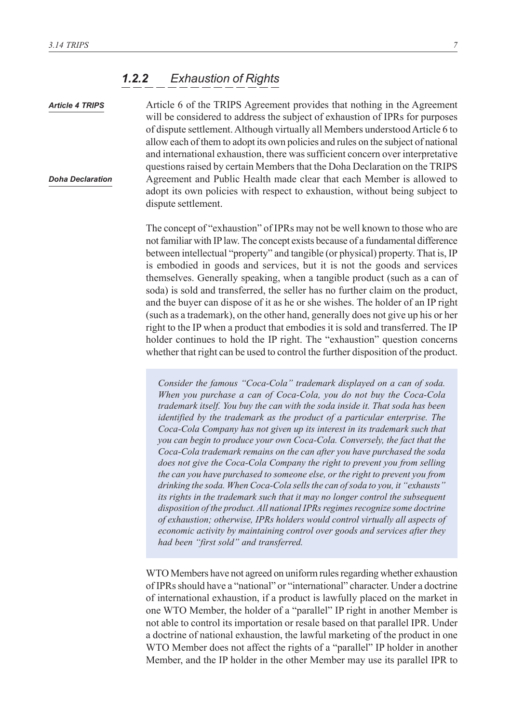### *1.2.2 Exhaustion of Rights*

Article 6 of the TRIPS Agreement provides that nothing in the Agreement will be considered to address the subject of exhaustion of IPRs for purposes of dispute settlement. Although virtually all Members understood Article 6 to allow each of them to adopt its own policies and rules on the subject of national and international exhaustion, there was sufficient concern over interpretative questions raised by certain Members that the Doha Declaration on the TRIPS Agreement and Public Health made clear that each Member is allowed to adopt its own policies with respect to exhaustion, without being subject to dispute settlement. *Doha Declaration Article 4 TRIPS*

> The concept of "exhaustion" of IPRs may not be well known to those who are not familiar with IP law. The concept exists because of a fundamental difference between intellectual "property" and tangible (or physical) property. That is, IP is embodied in goods and services, but it is not the goods and services themselves. Generally speaking, when a tangible product (such as a can of soda) is sold and transferred, the seller has no further claim on the product, and the buyer can dispose of it as he or she wishes. The holder of an IP right (such as a trademark), on the other hand, generally does not give up his or her right to the IP when a product that embodies it is sold and transferred. The IP holder continues to hold the IP right. The "exhaustion" question concerns whether that right can be used to control the further disposition of the product.

*Consider the famous "Coca-Cola" trademark displayed on a can of soda. When you purchase a can of Coca-Cola, you do not buy the Coca-Cola trademark itself. You buy the can with the soda inside it. That soda has been identified by the trademark as the product of a particular enterprise. The Coca-Cola Company has not given up its interest in its trademark such that you can begin to produce your own Coca-Cola. Conversely, the fact that the Coca-Cola trademark remains on the can after you have purchased the soda does not give the Coca-Cola Company the right to prevent you from selling the can you have purchased to someone else, or the right to prevent you from drinking the soda. When Coca-Cola sells the can of soda to you, it "exhausts" its rights in the trademark such that it may no longer control the subsequent disposition of the product. All national IPRs regimes recognize some doctrine of exhaustion; otherwise, IPRs holders would control virtually all aspects of economic activity by maintaining control over goods and services after they had been "first sold" and transferred.*

WTO Members have not agreed on uniform rules regarding whether exhaustion of IPRs should have a "national" or "international" character. Under a doctrine of international exhaustion, if a product is lawfully placed on the market in one WTO Member, the holder of a "parallel" IP right in another Member is not able to control its importation or resale based on that parallel IPR. Under a doctrine of national exhaustion, the lawful marketing of the product in one WTO Member does not affect the rights of a "parallel" IP holder in another Member, and the IP holder in the other Member may use its parallel IPR to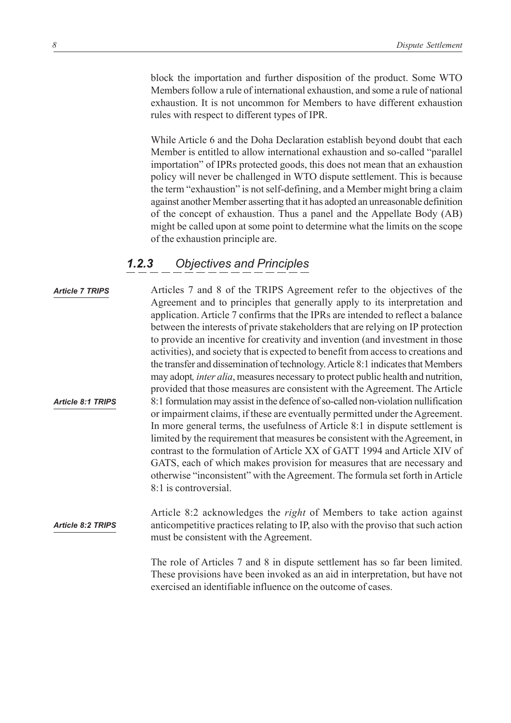block the importation and further disposition of the product. Some WTO Members follow a rule of international exhaustion, and some a rule of national exhaustion. It is not uncommon for Members to have different exhaustion rules with respect to different types of IPR.

While Article 6 and the Doha Declaration establish beyond doubt that each Member is entitled to allow international exhaustion and so-called "parallel importation" of IPRs protected goods, this does not mean that an exhaustion policy will never be challenged in WTO dispute settlement. This is because the term "exhaustion" is not self-defining, and a Member might bring a claim against another Member asserting that it has adopted an unreasonable definition of the concept of exhaustion. Thus a panel and the Appellate Body (AB) might be called upon at some point to determine what the limits on the scope of the exhaustion principle are.

### *1.2.3 Objectives and Principles*

#### *Article 7 TRIPS*

*Article 8:1 TRIPS*

Articles 7 and 8 of the TRIPS Agreement refer to the objectives of the Agreement and to principles that generally apply to its interpretation and application. Article 7 confirms that the IPRs are intended to reflect a balance between the interests of private stakeholders that are relying on IP protection to provide an incentive for creativity and invention (and investment in those activities), and society that is expected to benefit from access to creations and the transfer and dissemination of technology. Article 8:1 indicates that Members may adopt*, inter alia*, measures necessary to protect public health and nutrition, provided that those measures are consistent with the Agreement. The Article 8:1 formulation may assist in the defence of so-called non-violation nullification or impairment claims, if these are eventually permitted under the Agreement. In more general terms, the usefulness of Article 8:1 in dispute settlement is limited by the requirement that measures be consistent with the Agreement, in contrast to the formulation of Article XX of GATT 1994 and Article XIV of GATS, each of which makes provision for measures that are necessary and otherwise "inconsistent" with the Agreement. The formula set forth in Article 8:1 is controversial.

#### Article 8:2 acknowledges the *right* of Members to take action against anticompetitive practices relating to IP, also with the proviso that such action must be consistent with the Agreement. *Article 8:2 TRIPS*

The role of Articles 7 and 8 in dispute settlement has so far been limited. These provisions have been invoked as an aid in interpretation, but have not exercised an identifiable influence on the outcome of cases.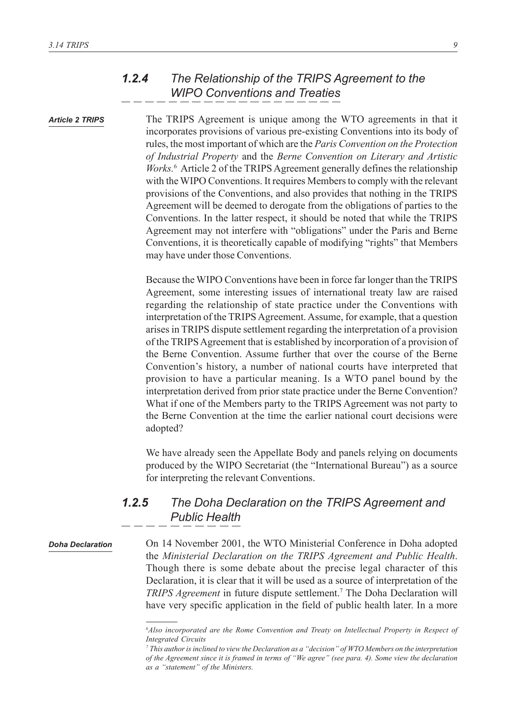### *1.2.4 The Relationship of the TRIPS Agreement to the WIPO Conventions and Treaties*

The TRIPS Agreement is unique among the WTO agreements in that it incorporates provisions of various pre-existing Conventions into its body of rules, the most important of which are the *Paris Convention on the Protection of Industrial Property* and the *Berne Convention on Literary and Artistic* Works.<sup>6</sup> Article 2 of the TRIPS Agreement generally defines the relationship with the WIPO Conventions. It requires Members to comply with the relevant provisions of the Conventions, and also provides that nothing in the TRIPS Agreement will be deemed to derogate from the obligations of parties to the Conventions. In the latter respect, it should be noted that while the TRIPS Agreement may not interfere with "obligations" under the Paris and Berne Conventions, it is theoretically capable of modifying "rights" that Members may have under those Conventions. *Article 2 TRIPS*

> Because the WIPO Conventions have been in force far longer than the TRIPS Agreement, some interesting issues of international treaty law are raised regarding the relationship of state practice under the Conventions with interpretation of the TRIPS Agreement. Assume, for example, that a question arises in TRIPS dispute settlement regarding the interpretation of a provision of the TRIPS Agreement that is established by incorporation of a provision of the Berne Convention. Assume further that over the course of the Berne Convention's history, a number of national courts have interpreted that provision to have a particular meaning. Is a WTO panel bound by the interpretation derived from prior state practice under the Berne Convention? What if one of the Members party to the TRIPS Agreement was not party to the Berne Convention at the time the earlier national court decisions were adopted?

> We have already seen the Appellate Body and panels relying on documents produced by the WIPO Secretariat (the "International Bureau") as a source for interpreting the relevant Conventions.

### *1.2.5 The Doha Declaration on the TRIPS Agreement and Public Health*

#### *Doha Declaration*

On 14 November 2001, the WTO Ministerial Conference in Doha adopted the *Ministerial Declaration on the TRIPS Agreement and Public Health*. Though there is some debate about the precise legal character of this Declaration, it is clear that it will be used as a source of interpretation of the *TRIPS Agreement* in future dispute settlement.7 The Doha Declaration will have very specific application in the field of public health later. In a more

*<sup>6</sup> Also incorporated are the Rome Convention and Treaty on Intellectual Property in Respect of Integrated Circuits*

*<sup>7</sup> This author is inclined to view the Declaration as a "decision" of WTO Members on the interpretation of the Agreement since it is framed in terms of "We agree" (see para. 4). Some view the declaration as a "statement" of the Ministers.*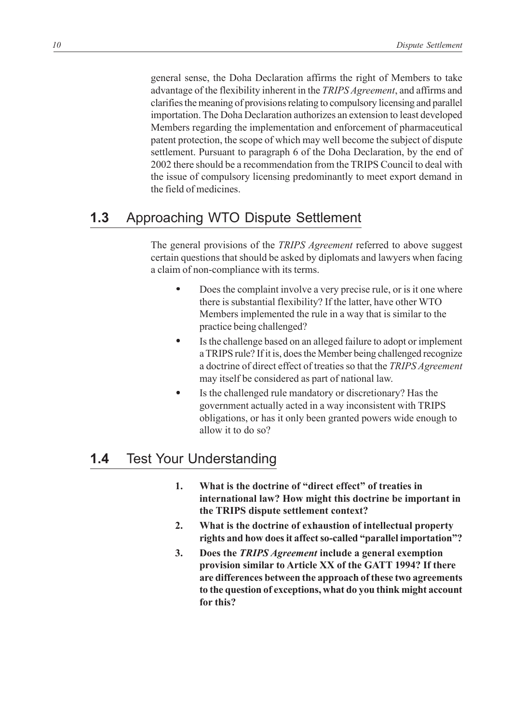general sense, the Doha Declaration affirms the right of Members to take advantage of the flexibility inherent in the *TRIPS Agreement*, and affirms and clarifies the meaning of provisions relating to compulsory licensing and parallel importation. The Doha Declaration authorizes an extension to least developed Members regarding the implementation and enforcement of pharmaceutical patent protection, the scope of which may well become the subject of dispute settlement. Pursuant to paragraph 6 of the Doha Declaration, by the end of 2002 there should be a recommendation from the TRIPS Council to deal with the issue of compulsory licensing predominantly to meet export demand in the field of medicines.

### **1.3** Approaching WTO Dispute Settlement

The general provisions of the *TRIPS Agreement* referred to above suggest certain questions that should be asked by diplomats and lawyers when facing a claim of non-compliance with its terms.

- Does the complaint involve a very precise rule, or is it one where there is substantial flexibility? If the latter, have other WTO Members implemented the rule in a way that is similar to the practice being challenged?
- Is the challenge based on an alleged failure to adopt or implement a TRIPS rule? If it is, does the Member being challenged recognize a doctrine of direct effect of treaties so that the *TRIPS Agreement* may itself be considered as part of national law.
- Is the challenged rule mandatory or discretionary? Has the government actually acted in a way inconsistent with TRIPS obligations, or has it only been granted powers wide enough to allow it to do so?

### **1.4** Test Your Understanding

- **1. What is the doctrine of "direct effect" of treaties in international law? How might this doctrine be important in the TRIPS dispute settlement context?**
- **2. What is the doctrine of exhaustion of intellectual property rights and how does it affect so-called "parallel importation"?**
- **3. Does the** *TRIPS Agreement* **include a general exemption provision similar to Article XX of the GATT 1994? If there are differences between the approach of these two agreements to the question of exceptions, what do you think might account for this?**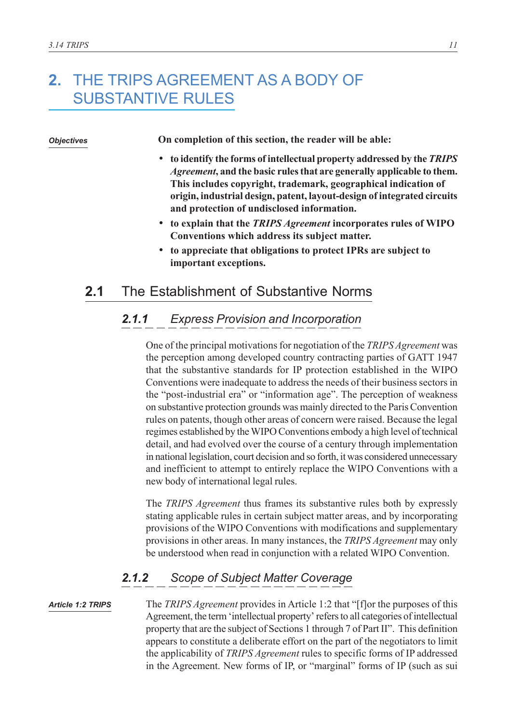## **2.** THE TRIPS AGREEMENT AS A BODY OF SUBSTANTIVE RULES

*Objectives*

**On completion of this section, the reader will be able:**

- **to identify the forms of intellectual property addressed by the** *TRIPS Agreement***, and the basic rules that are generally applicable to them. This includes copyright, trademark, geographical indication of origin, industrial design, patent, layout-design of integrated circuits and protection of undisclosed information.**
- **to explain that the** *TRIPS Agreement* **incorporates rules of WIPO Conventions which address its subject matter.**
- **to appreciate that obligations to protect IPRs are subject to important exceptions.**

### **2.1** The Establishment of Substantive Norms

### *2.1.1 Express Provision and Incorporation*

One of the principal motivations for negotiation of the *TRIPS Agreement* was the perception among developed country contracting parties of GATT 1947 that the substantive standards for IP protection established in the WIPO Conventions were inadequate to address the needs of their business sectors in the "post-industrial era" or "information age". The perception of weakness on substantive protection grounds was mainly directed to the Paris Convention rules on patents, though other areas of concern were raised. Because the legal regimes established by the WIPO Conventions embody a high level of technical detail, and had evolved over the course of a century through implementation in national legislation, court decision and so forth, it was considered unnecessary and inefficient to attempt to entirely replace the WIPO Conventions with a new body of international legal rules.

The *TRIPS Agreement* thus frames its substantive rules both by expressly stating applicable rules in certain subject matter areas, and by incorporating provisions of the WIPO Conventions with modifications and supplementary provisions in other areas. In many instances, the *TRIPS Agreement* may only be understood when read in conjunction with a related WIPO Convention.

### *2.1.2 Scope of Subject Matter Coverage*

#### *Article 1:2 TRIPS*

The *TRIPS Agreement* provides in Article 1:2 that "[f]or the purposes of this Agreement, the term 'intellectual property' refers to all categories of intellectual property that are the subject of Sections 1 through 7 of Part II". This definition appears to constitute a deliberate effort on the part of the negotiators to limit the applicability of *TRIPS Agreement* rules to specific forms of IP addressed in the Agreement. New forms of IP, or "marginal" forms of IP (such as sui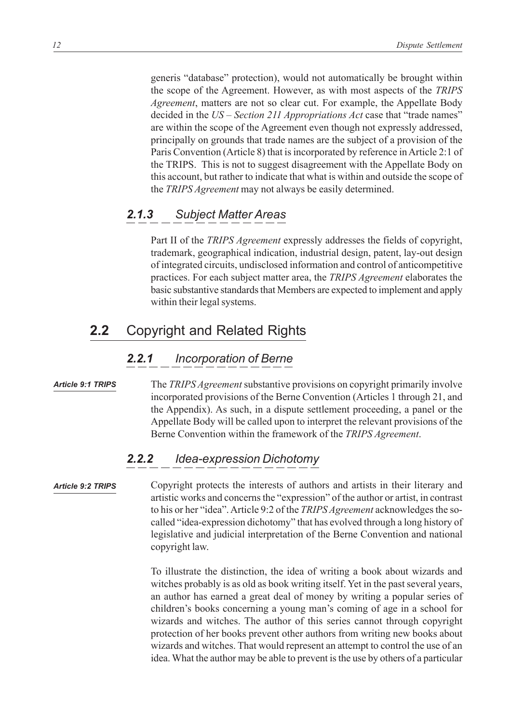generis "database" protection), would not automatically be brought within the scope of the Agreement. However, as with most aspects of the *TRIPS Agreement*, matters are not so clear cut. For example, the Appellate Body decided in the *US – Section 211 Appropriations Act* case that "trade names" are within the scope of the Agreement even though not expressly addressed, principally on grounds that trade names are the subject of a provision of the Paris Convention (Article 8) that is incorporated by reference in Article 2:1 of the TRIPS. This is not to suggest disagreement with the Appellate Body on this account, but rather to indicate that what is within and outside the scope of the *TRIPS Agreement* may not always be easily determined.

### *2.1.3 Subject Matter Areas*

Part II of the *TRIPS Agreement* expressly addresses the fields of copyright, trademark, geographical indication, industrial design, patent, lay-out design of integrated circuits, undisclosed information and control of anticompetitive practices. For each subject matter area, the *TRIPS Agreement* elaborates the basic substantive standards that Members are expected to implement and apply within their legal systems.

### **2.2** Copyright and Related Rights

### *2.2.1 Incorporation of Berne*

#### *Article 9:1 TRIPS*

The *TRIPS Agreement* substantive provisions on copyright primarily involve incorporated provisions of the Berne Convention (Articles 1 through 21, and the Appendix). As such, in a dispute settlement proceeding, a panel or the Appellate Body will be called upon to interpret the relevant provisions of the Berne Convention within the framework of the *TRIPS Agreement*.

### *2.2.2 Idea-expression Dichotomy*

#### *Article 9:2 TRIPS*

Copyright protects the interests of authors and artists in their literary and artistic works and concerns the "expression" of the author or artist, in contrast to his or her "idea". Article 9:2 of the *TRIPS Agreement* acknowledges the socalled "idea-expression dichotomy" that has evolved through a long history of legislative and judicial interpretation of the Berne Convention and national copyright law.

To illustrate the distinction, the idea of writing a book about wizards and witches probably is as old as book writing itself. Yet in the past several years, an author has earned a great deal of money by writing a popular series of children's books concerning a young man's coming of age in a school for wizards and witches. The author of this series cannot through copyright protection of her books prevent other authors from writing new books about wizards and witches. That would represent an attempt to control the use of an idea. What the author may be able to prevent is the use by others of a particular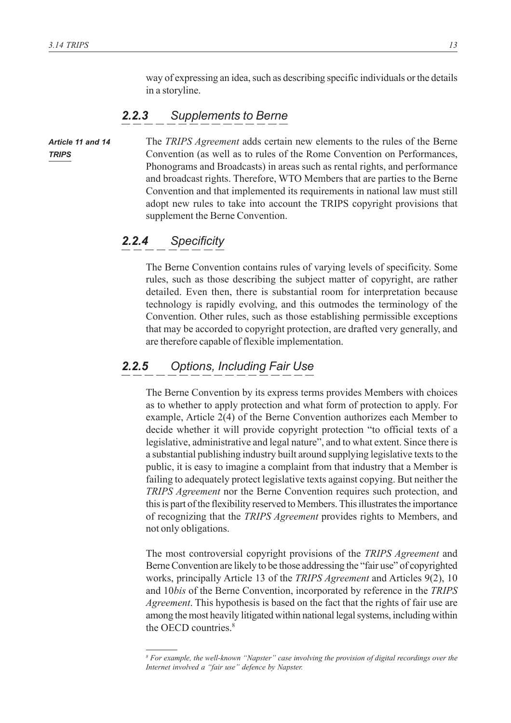way of expressing an idea, such as describing specific individuals or the details in a storyline.

### *2.2.3 Supplements to Berne*

*Article 11 and 14 TRIPS*

The *TRIPS Agreement* adds certain new elements to the rules of the Berne Convention (as well as to rules of the Rome Convention on Performances, Phonograms and Broadcasts) in areas such as rental rights, and performance and broadcast rights. Therefore, WTO Members that are parties to the Berne Convention and that implemented its requirements in national law must still adopt new rules to take into account the TRIPS copyright provisions that supplement the Berne Convention.

### *2.2.4 Specificity*

The Berne Convention contains rules of varying levels of specificity. Some rules, such as those describing the subject matter of copyright, are rather detailed. Even then, there is substantial room for interpretation because technology is rapidly evolving, and this outmodes the terminology of the Convention. Other rules, such as those establishing permissible exceptions that may be accorded to copyright protection, are drafted very generally, and are therefore capable of flexible implementation.

### *2.2.5 Options, Including Fair Use*

The Berne Convention by its express terms provides Members with choices as to whether to apply protection and what form of protection to apply. For example, Article 2(4) of the Berne Convention authorizes each Member to decide whether it will provide copyright protection "to official texts of a legislative, administrative and legal nature", and to what extent. Since there is a substantial publishing industry built around supplying legislative texts to the public, it is easy to imagine a complaint from that industry that a Member is failing to adequately protect legislative texts against copying. But neither the *TRIPS Agreement* nor the Berne Convention requires such protection, and this is part of the flexibility reserved to Members. This illustrates the importance of recognizing that the *TRIPS Agreement* provides rights to Members, and not only obligations.

The most controversial copyright provisions of the *TRIPS Agreement* and Berne Convention are likely to be those addressing the "fair use" of copyrighted works, principally Article 13 of the *TRIPS Agreement* and Articles 9(2), 10 and 10*bis* of the Berne Convention, incorporated by reference in the *TRIPS Agreement*. This hypothesis is based on the fact that the rights of fair use are among the most heavily litigated within national legal systems, including within the OECD countries.<sup>8</sup>

*<sup>8</sup>* For example, the well-known "Napster" case involving the provision of digital recordings over the *Internet involved a "fair use" defence by Napster.*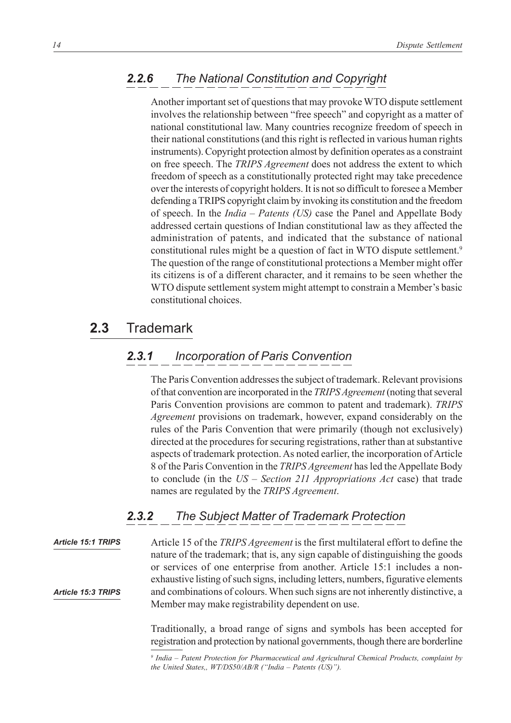### *2.2.6 The National Constitution and Copyright*

Another important set of questions that may provoke WTO dispute settlement involves the relationship between "free speech" and copyright as a matter of national constitutional law. Many countries recognize freedom of speech in their national constitutions (and this right is reflected in various human rights instruments). Copyright protection almost by definition operates as a constraint on free speech. The *TRIPS Agreement* does not address the extent to which freedom of speech as a constitutionally protected right may take precedence over the interests of copyright holders. It is not so difficult to foresee a Member defending a TRIPS copyright claim by invoking its constitution and the freedom of speech. In the *India – Patents (US)* case the Panel and Appellate Body addressed certain questions of Indian constitutional law as they affected the administration of patents, and indicated that the substance of national constitutional rules might be a question of fact in WTO dispute settlement.9 The question of the range of constitutional protections a Member might offer its citizens is of a different character, and it remains to be seen whether the WTO dispute settlement system might attempt to constrain a Member's basic constitutional choices.

### **2.3** Trademark

### *2.3.1 Incorporation of Paris Convention*

The Paris Convention addresses the subject of trademark. Relevant provisions of that convention are incorporated in the *TRIPS Agreement* (noting that several Paris Convention provisions are common to patent and trademark). *TRIPS Agreement* provisions on trademark, however, expand considerably on the rules of the Paris Convention that were primarily (though not exclusively) directed at the procedures for securing registrations, rather than at substantive aspects of trademark protection. As noted earlier, the incorporation of Article 8 of the Paris Convention in the *TRIPS Agreement* has led the Appellate Body to conclude (in the *US – Section 211 Appropriations Act* case) that trade names are regulated by the *TRIPS Agreement*.

### *2.3.2 The Subject Matter of Trademark Protection*

*Article 15:1 TRIPS*

*Article 15:3 TRIPS*

Article 15 of the *TRIPS Agreement* is the first multilateral effort to define the nature of the trademark; that is, any sign capable of distinguishing the goods or services of one enterprise from another. Article 15:1 includes a nonexhaustive listing of such signs, including letters, numbers, figurative elements and combinations of colours. When such signs are not inherently distinctive, a Member may make registrability dependent on use.

Traditionally, a broad range of signs and symbols has been accepted for registration and protection by national governments, though there are borderline

*<sup>9</sup> India – Patent Protection for Pharmaceutical and Agricultural Chemical Products, complaint by the United States,, WT/DS50/AB/R ("India – Patents (US)").*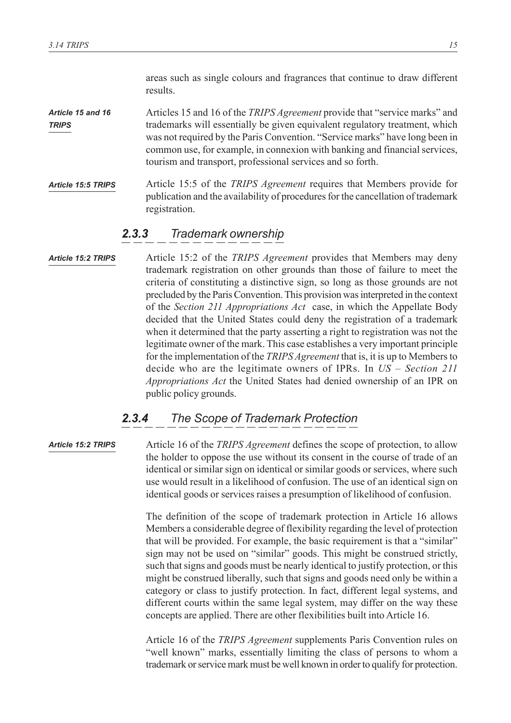areas such as single colours and fragrances that continue to draw different results.

Articles 15 and 16 of the *TRIPS Agreement* provide that "service marks" and trademarks will essentially be given equivalent regulatory treatment, which was not required by the Paris Convention. "Service marks" have long been in common use, for example, in connexion with banking and financial services, tourism and transport, professional services and so forth. *Article 15 and 16 TRIPS*

Article 15:5 of the *TRIPS Agreement* requires that Members provide for publication and the availability of procedures for the cancellation of trademark registration. *Article 15:5 TRIPS*

### *2.3.3 Trademark ownership*

Article 15:2 of the *TRIPS Agreement* provides that Members may deny trademark registration on other grounds than those of failure to meet the criteria of constituting a distinctive sign, so long as those grounds are not precluded by the Paris Convention. This provision was interpreted in the context of the *Section 211 Appropriations Act* case, in which the Appellate Body decided that the United States could deny the registration of a trademark when it determined that the party asserting a right to registration was not the legitimate owner of the mark. This case establishes a very important principle for the implementation of the *TRIPS Agreement* that is, it is up to Members to decide who are the legitimate owners of IPRs. In *US – Section 211 Appropriations Act* the United States had denied ownership of an IPR on public policy grounds. *Article 15:2 TRIPS*

### *2.3.4 The Scope of Trademark Protection*

#### *Article 15:2 TRIPS*

Article 16 of the *TRIPS Agreement* defines the scope of protection, to allow the holder to oppose the use without its consent in the course of trade of an identical or similar sign on identical or similar goods or services, where such use would result in a likelihood of confusion. The use of an identical sign on identical goods or services raises a presumption of likelihood of confusion.

The definition of the scope of trademark protection in Article 16 allows Members a considerable degree of flexibility regarding the level of protection that will be provided. For example, the basic requirement is that a "similar" sign may not be used on "similar" goods. This might be construed strictly, such that signs and goods must be nearly identical to justify protection, or this might be construed liberally, such that signs and goods need only be within a category or class to justify protection. In fact, different legal systems, and different courts within the same legal system, may differ on the way these concepts are applied. There are other flexibilities built into Article 16.

Article 16 of the *TRIPS Agreement* supplements Paris Convention rules on "well known" marks, essentially limiting the class of persons to whom a trademark or service mark must be well known in order to qualify for protection.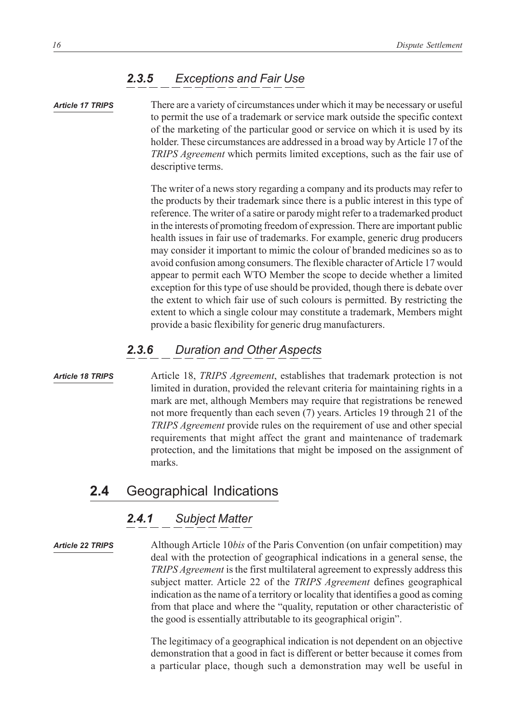### *2.3.5 Exceptions and Fair Use*

*Article 17 TRIPS*

There are a variety of circumstances under which it may be necessary or useful to permit the use of a trademark or service mark outside the specific context of the marketing of the particular good or service on which it is used by its holder. These circumstances are addressed in a broad way by Article 17 of the *TRIPS Agreement* which permits limited exceptions, such as the fair use of descriptive terms.

The writer of a news story regarding a company and its products may refer to the products by their trademark since there is a public interest in this type of reference. The writer of a satire or parody might refer to a trademarked product in the interests of promoting freedom of expression. There are important public health issues in fair use of trademarks. For example, generic drug producers may consider it important to mimic the colour of branded medicines so as to avoid confusion among consumers. The flexible character of Article 17 would appear to permit each WTO Member the scope to decide whether a limited exception for this type of use should be provided, though there is debate over the extent to which fair use of such colours is permitted. By restricting the extent to which a single colour may constitute a trademark, Members might provide a basic flexibility for generic drug manufacturers.

### *2.3.6 Duration and Other Aspects*

#### *Article 18 TRIPS*

Article 18, *TRIPS Agreement*, establishes that trademark protection is not limited in duration, provided the relevant criteria for maintaining rights in a mark are met, although Members may require that registrations be renewed not more frequently than each seven (7) years. Articles 19 through 21 of the *TRIPS Agreement* provide rules on the requirement of use and other special requirements that might affect the grant and maintenance of trademark protection, and the limitations that might be imposed on the assignment of marks.

### **2.4** Geographical Indications

### *2.4.1 Subject Matter*

Although Article 10*bis* of the Paris Convention (on unfair competition) may deal with the protection of geographical indications in a general sense, the *TRIPS Agreement* is the first multilateral agreement to expressly address this subject matter. Article 22 of the *TRIPS Agreement* defines geographical indication as the name of a territory or locality that identifies a good as coming from that place and where the "quality, reputation or other characteristic of the good is essentially attributable to its geographical origin". *Article 22 TRIPS*

> The legitimacy of a geographical indication is not dependent on an objective demonstration that a good in fact is different or better because it comes from a particular place, though such a demonstration may well be useful in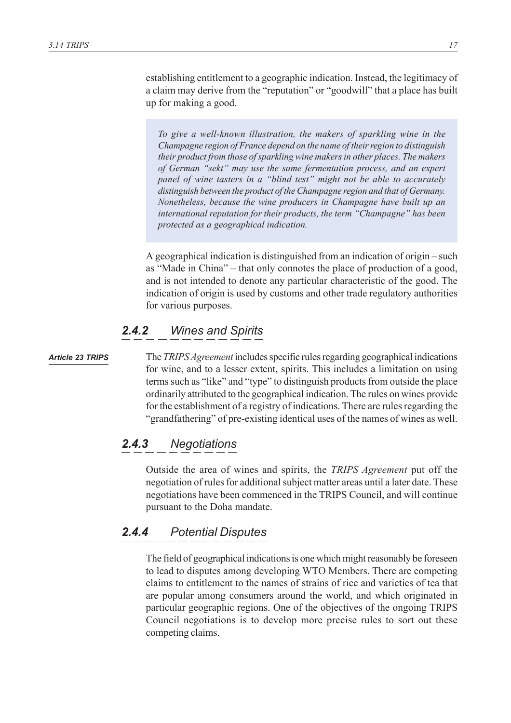*To give a well-known illustration, the makers of sparkling wine in the Champagne region of France depend on the name of their region to distinguish their product from those of sparkling wine makers in other places. The makers of German "sekt" may use the same fermentation process, and an expert panel of wine tasters in a "blind test" might not be able to accurately distinguish between the product of the Champagne region and that of Germany. Nonetheless, because the wine producers in Champagne have built up an international reputation for their products, the term "Champagne" has been protected as a geographical indication.*

A geographical indication is distinguished from an indication of origin – such as "Made in China" – that only connotes the place of production of a good, and is not intended to denote any particular characteristic of the good. The indication of origin is used by customs and other trade regulatory authorities for various purposes.

### *2.4.2 Wines and Spirits*

*Article 23 TRIPS*

The *TRIPS Agreement* includes specific rules regarding geographical indications for wine, and to a lesser extent, spirits. This includes a limitation on using terms such as "like" and "type" to distinguish products from outside the place ordinarily attributed to the geographical indication. The rules on wines provide for the establishment of a registry of indications. There are rules regarding the "grandfathering" of pre-existing identical uses of the names of wines as well.

### *2.4.3 Negotiations*

Outside the area of wines and spirits, the *TRIPS Agreement* put off the negotiation of rules for additional subject matter areas until a later date. These negotiations have been commenced in the TRIPS Council, and will continue pursuant to the Doha mandate.

### *2.4.4 Potential Disputes*

The field of geographical indications is one which might reasonably be foreseen to lead to disputes among developing WTO Members. There are competing claims to entitlement to the names of strains of rice and varieties of tea that are popular among consumers around the world, and which originated in particular geographic regions. One of the objectives of the ongoing TRIPS Council negotiations is to develop more precise rules to sort out these competing claims.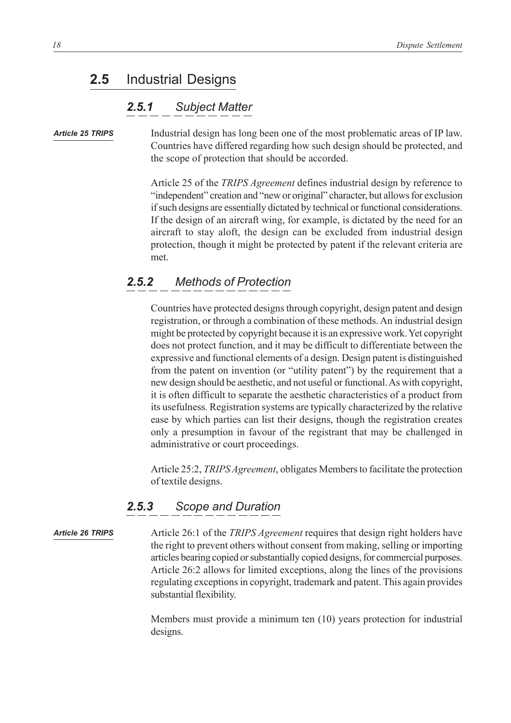### **2.5** Industrial Designs

### *2.5.1 Subject Matter*

*Article 25 TRIPS*

Industrial design has long been one of the most problematic areas of IP law. Countries have differed regarding how such design should be protected, and the scope of protection that should be accorded.

Article 25 of the *TRIPS Agreement* defines industrial design by reference to "independent" creation and "new or original" character, but allows for exclusion if such designs are essentially dictated by technical or functional considerations. If the design of an aircraft wing, for example, is dictated by the need for an aircraft to stay aloft, the design can be excluded from industrial design protection, though it might be protected by patent if the relevant criteria are met.

### *2.5.2 Methods of Protection*

Countries have protected designs through copyright, design patent and design registration, or through a combination of these methods. An industrial design might be protected by copyright because it is an expressive work. Yet copyright does not protect function, and it may be difficult to differentiate between the expressive and functional elements of a design. Design patent is distinguished from the patent on invention (or "utility patent") by the requirement that a new design should be aesthetic, and not useful or functional. As with copyright, it is often difficult to separate the aesthetic characteristics of a product from its usefulness. Registration systems are typically characterized by the relative ease by which parties can list their designs, though the registration creates only a presumption in favour of the registrant that may be challenged in administrative or court proceedings.

Article 25:2, *TRIPS Agreement*, obligates Members to facilitate the protection of textile designs.

### *2.5.3 Scope and Duration*

#### *Article 26 TRIPS*

Article 26:1 of the *TRIPS Agreement* requires that design right holders have the right to prevent others without consent from making, selling or importing articles bearing copied or substantially copied designs, for commercial purposes. Article 26:2 allows for limited exceptions, along the lines of the provisions regulating exceptions in copyright, trademark and patent. This again provides substantial flexibility.

Members must provide a minimum ten (10) years protection for industrial designs.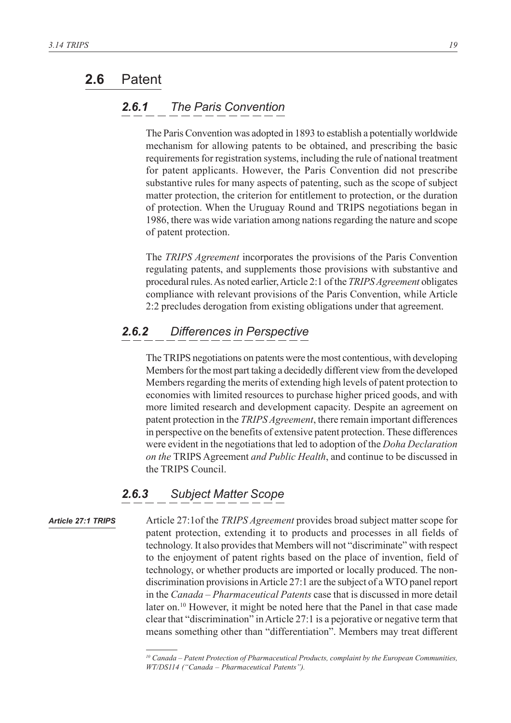### **2.6** Patent

### *2.6.1 The Paris Convention*

The Paris Convention was adopted in 1893 to establish a potentially worldwide mechanism for allowing patents to be obtained, and prescribing the basic requirements for registration systems, including the rule of national treatment for patent applicants. However, the Paris Convention did not prescribe substantive rules for many aspects of patenting, such as the scope of subject matter protection, the criterion for entitlement to protection, or the duration of protection. When the Uruguay Round and TRIPS negotiations began in 1986, there was wide variation among nations regarding the nature and scope of patent protection.

The *TRIPS Agreement* incorporates the provisions of the Paris Convention regulating patents, and supplements those provisions with substantive and procedural rules. As noted earlier, Article 2:1 of the *TRIPS Agreement* obligates compliance with relevant provisions of the Paris Convention, while Article 2:2 precludes derogation from existing obligations under that agreement.

### *2.6.2 Differences in Perspective*

The TRIPS negotiations on patents were the most contentious, with developing Members for the most part taking a decidedly different view from the developed Members regarding the merits of extending high levels of patent protection to economies with limited resources to purchase higher priced goods, and with more limited research and development capacity. Despite an agreement on patent protection in the *TRIPS Agreement*, there remain important differences in perspective on the benefits of extensive patent protection. These differences were evident in the negotiations that led to adoption of the *Doha Declaration on the* TRIPS Agreement *and Public Health*, and continue to be discussed in the TRIPS Council.

### *2.6.3 Subject Matter Scope*

#### *Article 27:1 TRIPS*

Article 27:1of the *TRIPS Agreement* provides broad subject matter scope for patent protection, extending it to products and processes in all fields of technology. It also provides that Members will not "discriminate" with respect to the enjoyment of patent rights based on the place of invention, field of technology, or whether products are imported or locally produced. The nondiscrimination provisions in Article 27:1 are the subject of a WTO panel report in the *Canada – Pharmaceutical Patents* case that is discussed in more detail later on.<sup>10</sup> However, it might be noted here that the Panel in that case made clear that "discrimination" in Article 27:1 is a pejorative or negative term that means something other than "differentiation". Members may treat different

*<sup>10</sup> Canada – Patent Protection of Pharmaceutical Products, complaint by the European Communities, WT/DS114 ("Canada – Pharmaceutical Patents").*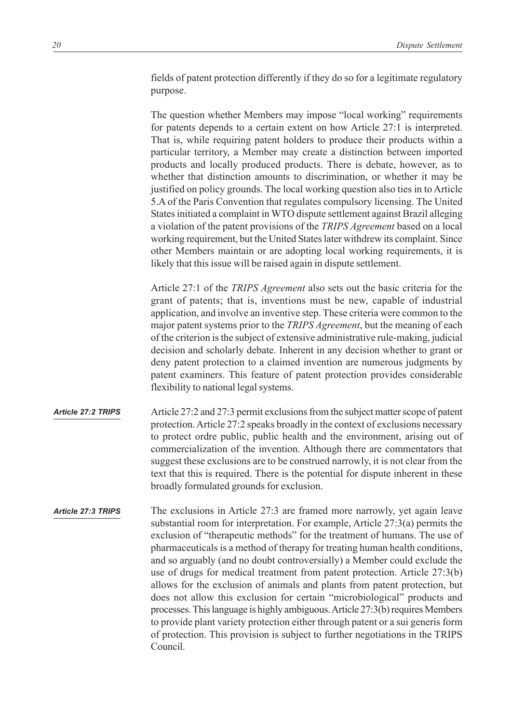fields of patent protection differently if they do so for a legitimate regulatory purpose.

The question whether Members may impose "local working" requirements for patents depends to a certain extent on how Article 27:1 is interpreted. That is, while requiring patent holders to produce their products within a particular territory, a Member may create a distinction between imported products and locally produced products. There is debate, however, as to whether that distinction amounts to discrimination, or whether it may be justified on policy grounds. The local working question also ties in to Article 5.A of the Paris Convention that regulates compulsory licensing. The United States initiated a complaint in WTO dispute settlement against Brazil alleging a violation of the patent provisions of the *TRIPS Agreement* based on a local working requirement, but the United States later withdrew its complaint. Since other Members maintain or are adopting local working requirements, it is likely that this issue will be raised again in dispute settlement.

Article 27:1 of the *TRIPS Agreement* also sets out the basic criteria for the grant of patents; that is, inventions must be new, capable of industrial application, and involve an inventive step. These criteria were common to the major patent systems prior to the *TRIPS Agreement*, but the meaning of each of the criterion is the subject of extensive administrative rule-making, judicial decision and scholarly debate. Inherent in any decision whether to grant or deny patent protection to a claimed invention are numerous judgments by patent examiners. This feature of patent protection provides considerable flexibility to national legal systems.

Article 27:2 and 27:3 permit exclusions from the subject matter scope of patent protection. Article 27:2 speaks broadly in the context of exclusions necessary to protect ordre public, public health and the environment, arising out of commercialization of the invention. Although there are commentators that suggest these exclusions are to be construed narrowly, it is not clear from the text that this is required. There is the potential for dispute inherent in these broadly formulated grounds for exclusion. *Article 27:2 TRIPS*

The exclusions in Article 27:3 are framed more narrowly, yet again leave substantial room for interpretation. For example, Article 27:3(a) permits the exclusion of "therapeutic methods" for the treatment of humans. The use of pharmaceuticals is a method of therapy for treating human health conditions, and so arguably (and no doubt controversially) a Member could exclude the use of drugs for medical treatment from patent protection. Article 27:3(b) allows for the exclusion of animals and plants from patent protection, but does not allow this exclusion for certain "microbiological" products and processes. This language is highly ambiguous. Article 27:3(b) requires Members to provide plant variety protection either through patent or a sui generis form of protection. This provision is subject to further negotiations in the TRIPS Council. *Article 27:3 TRIPS*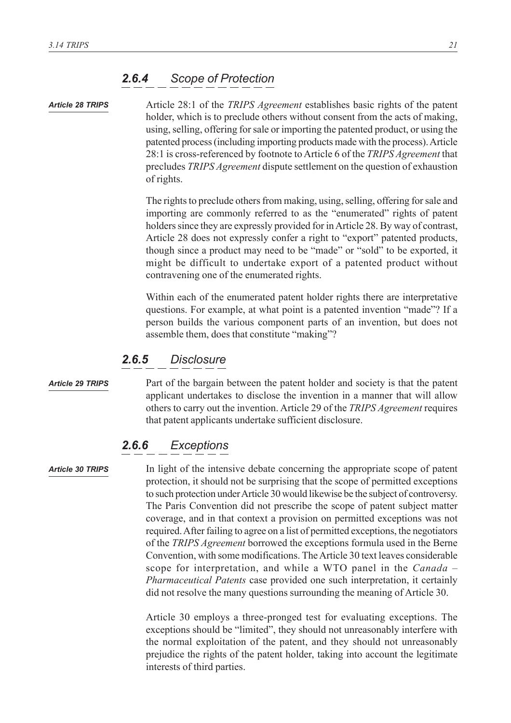### *2.6.4 Scope of Protection*

Article 28:1 of the *TRIPS Agreement* establishes basic rights of the patent holder, which is to preclude others without consent from the acts of making, using, selling, offering for sale or importing the patented product, or using the patented process (including importing products made with the process). Article 28:1 is cross-referenced by footnote to Article 6 of the *TRIPS Agreement* that precludes *TRIPS Agreement* dispute settlement on the question of exhaustion of rights. *Article 28 TRIPS*

> The rights to preclude others from making, using, selling, offering for sale and importing are commonly referred to as the "enumerated" rights of patent holders since they are expressly provided for in Article 28. By way of contrast, Article 28 does not expressly confer a right to "export" patented products, though since a product may need to be "made" or "sold" to be exported, it might be difficult to undertake export of a patented product without contravening one of the enumerated rights.

> Within each of the enumerated patent holder rights there are interpretative questions. For example, at what point is a patented invention "made"? If a person builds the various component parts of an invention, but does not assemble them, does that constitute "making"?

### *2.6.5 Disclosure*

#### *Article 29 TRIPS*

Part of the bargain between the patent holder and society is that the patent applicant undertakes to disclose the invention in a manner that will allow others to carry out the invention. Article 29 of the *TRIPS Agreement* requires that patent applicants undertake sufficient disclosure.

### *2.6.6 Exceptions*

#### *Article 30 TRIPS*

In light of the intensive debate concerning the appropriate scope of patent protection, it should not be surprising that the scope of permitted exceptions to such protection under Article 30 would likewise be the subject of controversy. The Paris Convention did not prescribe the scope of patent subject matter coverage, and in that context a provision on permitted exceptions was not required. After failing to agree on a list of permitted exceptions, the negotiators of the *TRIPS Agreement* borrowed the exceptions formula used in the Berne Convention, with some modifications. The Article 30 text leaves considerable scope for interpretation, and while a WTO panel in the *Canada – Pharmaceutical Patents* case provided one such interpretation, it certainly did not resolve the many questions surrounding the meaning of Article 30.

Article 30 employs a three-pronged test for evaluating exceptions. The exceptions should be "limited", they should not unreasonably interfere with the normal exploitation of the patent, and they should not unreasonably prejudice the rights of the patent holder, taking into account the legitimate interests of third parties.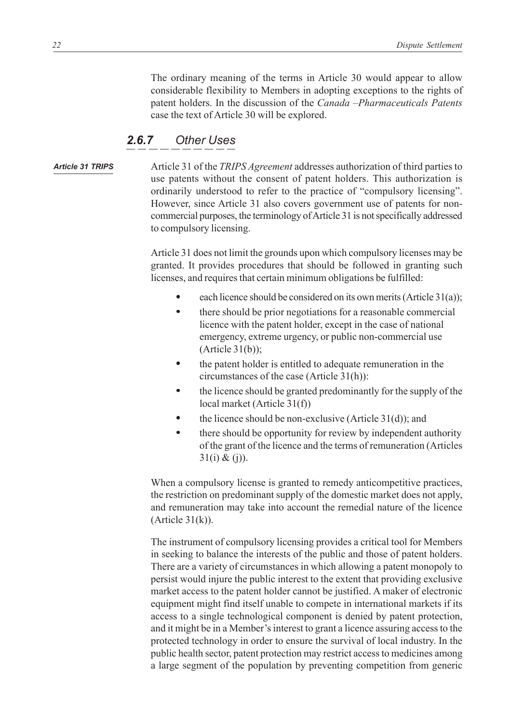The ordinary meaning of the terms in Article 30 would appear to allow considerable flexibility to Members in adopting exceptions to the rights of patent holders. In the discussion of the *Canada –Pharmaceuticals Patents* case the text of Article 30 will be explored.

### *2.6.7 Other Uses*

#### *Article 31 TRIPS*

Article 31 of the *TRIPS Agreement* addresses authorization of third parties to use patents without the consent of patent holders. This authorization is ordinarily understood to refer to the practice of "compulsory licensing". However, since Article 31 also covers government use of patents for noncommercial purposes, the terminology of Article 31 is not specifically addressed to compulsory licensing.

Article 31 does not limit the grounds upon which compulsory licenses may be granted. It provides procedures that should be followed in granting such licenses, and requires that certain minimum obligations be fulfilled:

- each licence should be considered on its own merits (Article  $31(a)$ );
- there should be prior negotiations for a reasonable commercial licence with the patent holder, except in the case of national emergency, extreme urgency, or public non-commercial use  $(A<sup>rt</sup>icle 31(b));$
- the patent holder is entitled to adequate remuneration in the circumstances of the case (Article 31(h)):
- the licence should be granted predominantly for the supply of the local market (Article 31(f))
- the licence should be non-exclusive (Article  $31(d)$ ); and
- there should be opportunity for review by independent authority of the grant of the licence and the terms of remuneration (Articles  $31(i) & (j)$ ).

When a compulsory license is granted to remedy anticompetitive practices, the restriction on predominant supply of the domestic market does not apply, and remuneration may take into account the remedial nature of the licence  $(A$ rticle  $31(k)$ ).

The instrument of compulsory licensing provides a critical tool for Members in seeking to balance the interests of the public and those of patent holders. There are a variety of circumstances in which allowing a patent monopoly to persist would injure the public interest to the extent that providing exclusive market access to the patent holder cannot be justified. A maker of electronic equipment might find itself unable to compete in international markets if its access to a single technological component is denied by patent protection, and it might be in a Member's interest to grant a licence assuring access to the protected technology in order to ensure the survival of local industry. In the public health sector, patent protection may restrict access to medicines among a large segment of the population by preventing competition from generic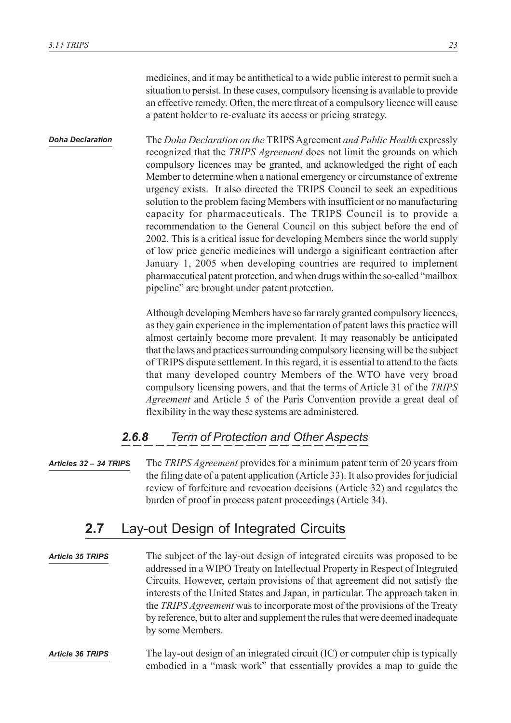medicines, and it may be antithetical to a wide public interest to permit such a situation to persist. In these cases, compulsory licensing is available to provide an effective remedy. Often, the mere threat of a compulsory licence will cause a patent holder to re-evaluate its access or pricing strategy.

The *Doha Declaration on the* TRIPS Agreement *and Public Health* expressly recognized that the *TRIPS Agreement* does not limit the grounds on which compulsory licences may be granted, and acknowledged the right of each Member to determine when a national emergency or circumstance of extreme urgency exists. It also directed the TRIPS Council to seek an expeditious solution to the problem facing Members with insufficient or no manufacturing capacity for pharmaceuticals. The TRIPS Council is to provide a recommendation to the General Council on this subject before the end of 2002. This is a critical issue for developing Members since the world supply of low price generic medicines will undergo a significant contraction after January 1, 2005 when developing countries are required to implement pharmaceutical patent protection, and when drugs within the so-called "mailbox pipeline" are brought under patent protection. *Doha Declaration*

> Although developing Members have so far rarely granted compulsory licences, as they gain experience in the implementation of patent laws this practice will almost certainly become more prevalent. It may reasonably be anticipated that the laws and practices surrounding compulsory licensing will be the subject of TRIPS dispute settlement. In this regard, it is essential to attend to the facts that many developed country Members of the WTO have very broad compulsory licensing powers, and that the terms of Article 31 of the *TRIPS Agreement* and Article 5 of the Paris Convention provide a great deal of flexibility in the way these systems are administered.

### *2.6.8 Term of Protection and Other Aspects*

The *TRIPS Agreement* provides for a minimum patent term of 20 years from the filing date of a patent application (Article 33). It also provides for judicial review of forfeiture and revocation decisions (Article 32) and regulates the burden of proof in process patent proceedings (Article 34). *Articles 32 – 34 TRIPS*

### **2.7** Lay-out Design of Integrated Circuits

- The subject of the lay-out design of integrated circuits was proposed to be addressed in a WIPO Treaty on Intellectual Property in Respect of Integrated Circuits. However, certain provisions of that agreement did not satisfy the interests of the United States and Japan, in particular. The approach taken in the *TRIPS Agreement* was to incorporate most of the provisions of the Treaty by reference, but to alter and supplement the rules that were deemed inadequate by some Members. *Article 35 TRIPS*
- The lay-out design of an integrated circuit (IC) or computer chip is typically embodied in a "mask work" that essentially provides a map to guide the *Article 36 TRIPS*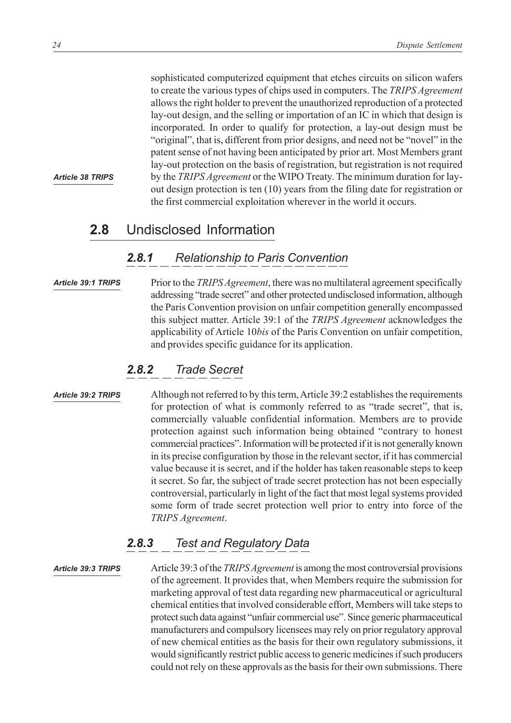sophisticated computerized equipment that etches circuits on silicon wafers to create the various types of chips used in computers. The *TRIPS Agreement* allows the right holder to prevent the unauthorized reproduction of a protected lay-out design, and the selling or importation of an IC in which that design is incorporated. In order to qualify for protection, a lay-out design must be "original", that is, different from prior designs, and need not be "novel" in the patent sense of not having been anticipated by prior art. Most Members grant lay-out protection on the basis of registration, but registration is not required by the *TRIPS Agreement* or the WIPO Treaty. The minimum duration for layout design protection is ten (10) years from the filing date for registration or the first commercial exploitation wherever in the world it occurs.

### **2.8** Undisclosed Information

### *2.8.1 Relationship to Paris Convention*

#### *Article 39:1 TRIPS*

Prior to the *TRIPS Agreement*, there was no multilateral agreement specifically addressing "trade secret" and other protected undisclosed information, although the Paris Convention provision on unfair competition generally encompassed this subject matter. Article 39:1 of the *TRIPS Agreement* acknowledges the applicability of Article 10*bis* of the Paris Convention on unfair competition, and provides specific guidance for its application.

### *2.8.2 Trade Secret*

#### *Article 39:2 TRIPS*

Although not referred to by this term, Article 39:2 establishes the requirements for protection of what is commonly referred to as "trade secret", that is, commercially valuable confidential information. Members are to provide protection against such information being obtained "contrary to honest commercial practices". Information will be protected if it is not generally known in its precise configuration by those in the relevant sector, if it has commercial value because it is secret, and if the holder has taken reasonable steps to keep it secret. So far, the subject of trade secret protection has not been especially controversial, particularly in light of the fact that most legal systems provided some form of trade secret protection well prior to entry into force of the *TRIPS Agreement*.

### *2.8.3 Test and Regulatory Data*

#### *Article 39:3 TRIPS*

Article 39:3 of the *TRIPS Agreement* is among the most controversial provisions of the agreement. It provides that, when Members require the submission for marketing approval of test data regarding new pharmaceutical or agricultural chemical entities that involved considerable effort, Members will take steps to protect such data against "unfair commercial use". Since generic pharmaceutical manufacturers and compulsory licensees may rely on prior regulatory approval of new chemical entities as the basis for their own regulatory submissions, it would significantly restrict public access to generic medicines if such producers could not rely on these approvals as the basis for their own submissions. There

*Article 38 TRIPS*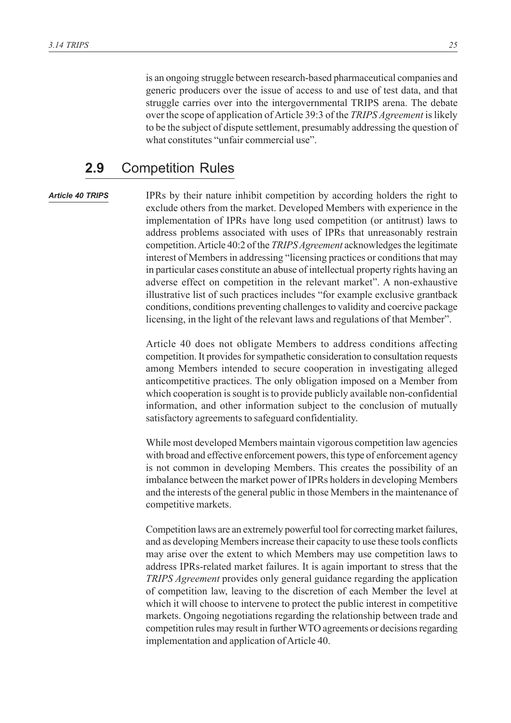is an ongoing struggle between research-based pharmaceutical companies and generic producers over the issue of access to and use of test data, and that struggle carries over into the intergovernmental TRIPS arena. The debate over the scope of application of Article 39:3 of the *TRIPS Agreement* is likely to be the subject of dispute settlement, presumably addressing the question of what constitutes "unfair commercial use".

### **2.9** Competition Rules

#### *Article 40 TRIPS*

IPRs by their nature inhibit competition by according holders the right to exclude others from the market. Developed Members with experience in the implementation of IPRs have long used competition (or antitrust) laws to address problems associated with uses of IPRs that unreasonably restrain competition. Article 40:2 of the *TRIPS Agreement* acknowledges the legitimate interest of Members in addressing "licensing practices or conditions that may in particular cases constitute an abuse of intellectual property rights having an adverse effect on competition in the relevant market". A non-exhaustive illustrative list of such practices includes "for example exclusive grantback conditions, conditions preventing challenges to validity and coercive package licensing, in the light of the relevant laws and regulations of that Member".

Article 40 does not obligate Members to address conditions affecting competition. It provides for sympathetic consideration to consultation requests among Members intended to secure cooperation in investigating alleged anticompetitive practices. The only obligation imposed on a Member from which cooperation is sought is to provide publicly available non-confidential information, and other information subject to the conclusion of mutually satisfactory agreements to safeguard confidentiality.

While most developed Members maintain vigorous competition law agencies with broad and effective enforcement powers, this type of enforcement agency is not common in developing Members. This creates the possibility of an imbalance between the market power of IPRs holders in developing Members and the interests of the general public in those Members in the maintenance of competitive markets.

Competition laws are an extremely powerful tool for correcting market failures, and as developing Members increase their capacity to use these tools conflicts may arise over the extent to which Members may use competition laws to address IPRs-related market failures. It is again important to stress that the *TRIPS Agreement* provides only general guidance regarding the application of competition law, leaving to the discretion of each Member the level at which it will choose to intervene to protect the public interest in competitive markets. Ongoing negotiations regarding the relationship between trade and competition rules may result in further WTO agreements or decisions regarding implementation and application of Article 40.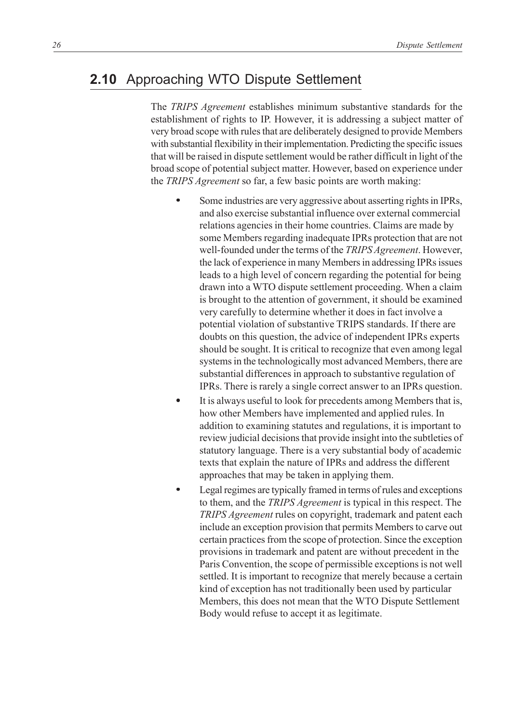### **2.10** Approaching WTO Dispute Settlement

The *TRIPS Agreement* establishes minimum substantive standards for the establishment of rights to IP. However, it is addressing a subject matter of very broad scope with rules that are deliberately designed to provide Members with substantial flexibility in their implementation. Predicting the specific issues that will be raised in dispute settlement would be rather difficult in light of the broad scope of potential subject matter. However, based on experience under the *TRIPS Agreement* so far, a few basic points are worth making:

- Some industries are very aggressive about asserting rights in IPRs, and also exercise substantial influence over external commercial relations agencies in their home countries. Claims are made by some Members regarding inadequate IPRs protection that are not well-founded under the terms of the *TRIPS Agreement*. However, the lack of experience in many Members in addressing IPRs issues leads to a high level of concern regarding the potential for being drawn into a WTO dispute settlement proceeding. When a claim is brought to the attention of government, it should be examined very carefully to determine whether it does in fact involve a potential violation of substantive TRIPS standards. If there are doubts on this question, the advice of independent IPRs experts should be sought. It is critical to recognize that even among legal systems in the technologically most advanced Members, there are substantial differences in approach to substantive regulation of IPRs. There is rarely a single correct answer to an IPRs question.
- It is always useful to look for precedents among Members that is, how other Members have implemented and applied rules. In addition to examining statutes and regulations, it is important to review judicial decisions that provide insight into the subtleties of statutory language. There is a very substantial body of academic texts that explain the nature of IPRs and address the different approaches that may be taken in applying them.
- Legal regimes are typically framed in terms of rules and exceptions to them, and the *TRIPS Agreement* is typical in this respect. The *TRIPS Agreement* rules on copyright, trademark and patent each include an exception provision that permits Members to carve out certain practices from the scope of protection. Since the exception provisions in trademark and patent are without precedent in the Paris Convention, the scope of permissible exceptions is not well settled. It is important to recognize that merely because a certain kind of exception has not traditionally been used by particular Members, this does not mean that the WTO Dispute Settlement Body would refuse to accept it as legitimate.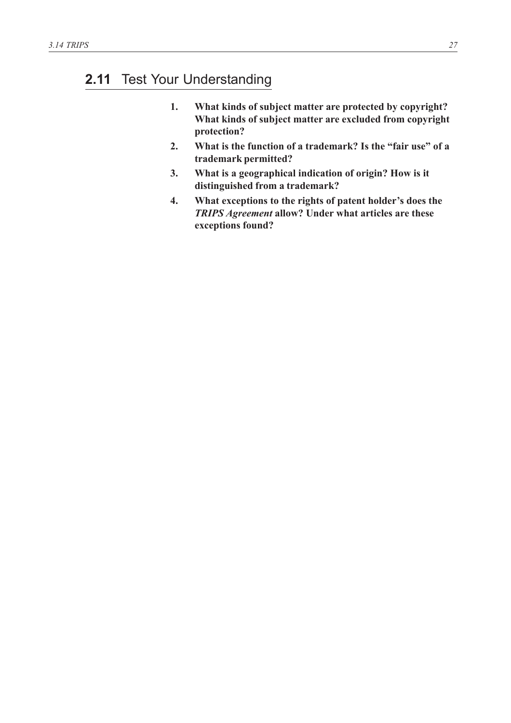### **2.11** Test Your Understanding

- **1. What kinds of subject matter are protected by copyright? What kinds of subject matter are excluded from copyright protection?**
- **2. What is the function of a trademark? Is the "fair use" of a trademark permitted?**
- **3. What is a geographical indication of origin? How is it distinguished from a trademark?**
- **4. What exceptions to the rights of patent holder's does the** *TRIPS Agreement* **allow? Under what articles are these exceptions found?**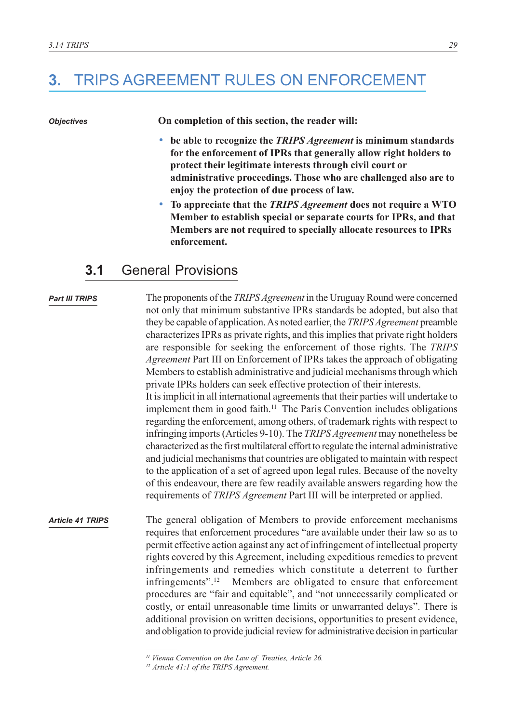## **3.** TRIPS AGREEMENT RULES ON ENFORCEMENT

#### *Objectives*

**On completion of this section, the reader will:**

- **be able to recognize the** *TRIPS Agreement* **is minimum standards for the enforcement of IPRs that generally allow right holders to protect their legitimate interests through civil court or administrative proceedings. Those who are challenged also are to enjoy the protection of due process of law.**
- **To appreciate that the** *TRIPS Agreement* **does not require a WTO Member to establish special or separate courts for IPRs, and that Members are not required to specially allocate resources to IPRs enforcement.**

### **3.1** General Provisions

#### *Part III TRIPS*

The proponents of the *TRIPS Agreement* in the Uruguay Round were concerned not only that minimum substantive IPRs standards be adopted, but also that they be capable of application. As noted earlier, the *TRIPS Agreement* preamble characterizes IPRs as private rights, and this implies that private right holders are responsible for seeking the enforcement of those rights. The *TRIPS Agreement* Part III on Enforcement of IPRs takes the approach of obligating Members to establish administrative and judicial mechanisms through which private IPRs holders can seek effective protection of their interests. It is implicit in all international agreements that their parties will undertake to implement them in good faith.<sup>11</sup> The Paris Convention includes obligations regarding the enforcement, among others, of trademark rights with respect to infringing imports (Articles 9-10). The *TRIPS Agreement* may nonetheless be characterized as the first multilateral effort to regulate the internal administrative and judicial mechanisms that countries are obligated to maintain with respect to the application of a set of agreed upon legal rules. Because of the novelty of this endeavour, there are few readily available answers regarding how the requirements of *TRIPS Agreement* Part III will be interpreted or applied.

The general obligation of Members to provide enforcement mechanisms requires that enforcement procedures "are available under their law so as to permit effective action against any act of infringement of intellectual property rights covered by this Agreement, including expeditious remedies to prevent infringements and remedies which constitute a deterrent to further infringements".12 Members are obligated to ensure that enforcement procedures are "fair and equitable", and "not unnecessarily complicated or costly, or entail unreasonable time limits or unwarranted delays". There is additional provision on written decisions, opportunities to present evidence, and obligation to provide judicial review for administrative decision in particular *Article 41 TRIPS*

*<sup>11</sup> Vienna Convention on the Law of Treaties, Article 26.*

*<sup>12</sup> Article 41:1 of the TRIPS Agreement.*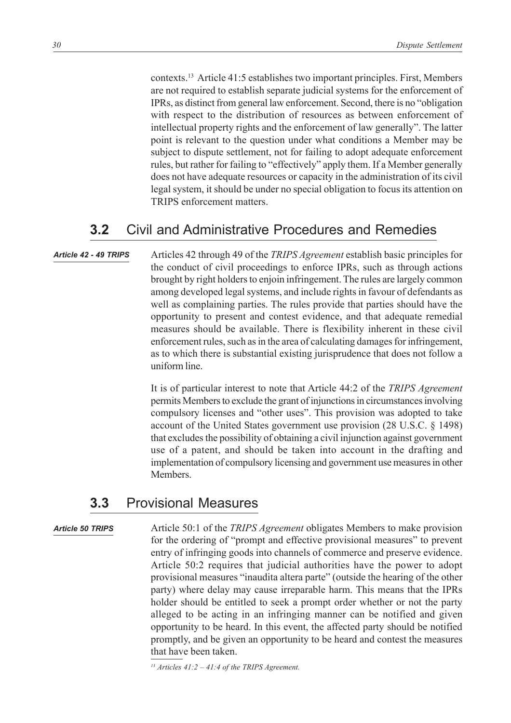contexts.13 Article 41:5 establishes two important principles. First, Members are not required to establish separate judicial systems for the enforcement of IPRs, as distinct from general law enforcement. Second, there is no "obligation with respect to the distribution of resources as between enforcement of intellectual property rights and the enforcement of law generally". The latter point is relevant to the question under what conditions a Member may be subject to dispute settlement, not for failing to adopt adequate enforcement rules, but rather for failing to "effectively" apply them. If a Member generally does not have adequate resources or capacity in the administration of its civil legal system, it should be under no special obligation to focus its attention on TRIPS enforcement matters.

### **3.2** Civil and Administrative Procedures and Remedies

#### *Article 42 - 49 TRIPS*

Articles 42 through 49 of the *TRIPS Agreement* establish basic principles for the conduct of civil proceedings to enforce IPRs, such as through actions brought by right holders to enjoin infringement. The rules are largely common among developed legal systems, and include rights in favour of defendants as well as complaining parties. The rules provide that parties should have the opportunity to present and contest evidence, and that adequate remedial measures should be available. There is flexibility inherent in these civil enforcement rules, such as in the area of calculating damages for infringement, as to which there is substantial existing jurisprudence that does not follow a uniform line.

It is of particular interest to note that Article 44:2 of the *TRIPS Agreement* permits Members to exclude the grant of injunctions in circumstances involving compulsory licenses and "other uses". This provision was adopted to take account of the United States government use provision (28 U.S.C. § 1498) that excludes the possibility of obtaining a civil injunction against government use of a patent, and should be taken into account in the drafting and implementation of compulsory licensing and government use measures in other Members.

### **3.3** Provisional Measures

#### *Article 50 TRIPS*

Article 50:1 of the *TRIPS Agreement* obligates Members to make provision for the ordering of "prompt and effective provisional measures" to prevent entry of infringing goods into channels of commerce and preserve evidence. Article 50:2 requires that judicial authorities have the power to adopt provisional measures "inaudita altera parte" (outside the hearing of the other party) where delay may cause irreparable harm. This means that the IPRs holder should be entitled to seek a prompt order whether or not the party alleged to be acting in an infringing manner can be notified and given opportunity to be heard. In this event, the affected party should be notified promptly, and be given an opportunity to be heard and contest the measures that have been taken.

*13 Articles 41:2 – 41:4 of the TRIPS Agreement.*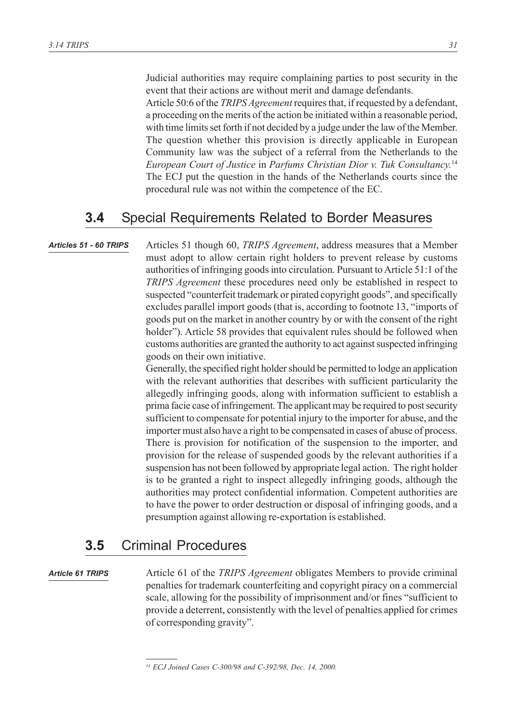Judicial authorities may require complaining parties to post security in the event that their actions are without merit and damage defendants. Article 50:6 of the *TRIPS Agreement* requires that, if requested by a defendant, a proceeding on the merits of the action be initiated within a reasonable period, with time limits set forth if not decided by a judge under the law of the Member. The question whether this provision is directly applicable in European Community law was the subject of a referral from the Netherlands to the *European Court of Justice* in *Parfums Christian Dior v. Tuk Consultancy.*<sup>14</sup> The ECJ put the question in the hands of the Netherlands courts since the procedural rule was not within the competence of the EC.

### **3.4** Special Requirements Related to Border Measures

#### *Articles 51 - 60 TRIPS*

Articles 51 though 60, *TRIPS Agreement*, address measures that a Member must adopt to allow certain right holders to prevent release by customs authorities of infringing goods into circulation. Pursuant to Article 51:1 of the *TRIPS Agreement* these procedures need only be established in respect to suspected "counterfeit trademark or pirated copyright goods", and specifically excludes parallel import goods (that is, according to footnote 13, "imports of goods put on the market in another country by or with the consent of the right holder"). Article 58 provides that equivalent rules should be followed when customs authorities are granted the authority to act against suspected infringing goods on their own initiative.

Generally, the specified right holder should be permitted to lodge an application with the relevant authorities that describes with sufficient particularity the allegedly infringing goods, along with information sufficient to establish a prima facie case of infringement. The applicant may be required to post security sufficient to compensate for potential injury to the importer for abuse, and the importer must also have a right to be compensated in cases of abuse of process. There is provision for notification of the suspension to the importer, and provision for the release of suspended goods by the relevant authorities if a suspension has not been followed by appropriate legal action. The right holder is to be granted a right to inspect allegedly infringing goods, although the authorities may protect confidential information. Competent authorities are to have the power to order destruction or disposal of infringing goods, and a presumption against allowing re-exportation is established.

### **3.5** Criminal Procedures

*Article 61 TRIPS*

Article 61 of the *TRIPS Agreement* obligates Members to provide criminal penalties for trademark counterfeiting and copyright piracy on a commercial scale, allowing for the possibility of imprisonment and/or fines "sufficient to provide a deterrent, consistently with the level of penalties applied for crimes of corresponding gravity".

*<sup>14</sup> ECJ Joined Cases C-300/98 and C-392/98, Dec. 14, 2000.*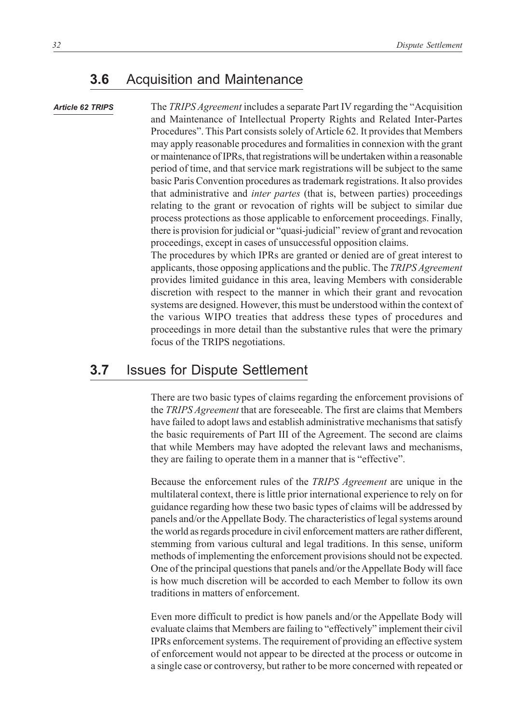### **3.6** Acquisition and Maintenance

#### *Article 62 TRIPS*

The *TRIPS Agreement* includes a separate Part IV regarding the "Acquisition and Maintenance of Intellectual Property Rights and Related Inter-Partes Procedures". This Part consists solely of Article 62. It provides that Members may apply reasonable procedures and formalities in connexion with the grant or maintenance of IPRs, that registrations will be undertaken within a reasonable period of time, and that service mark registrations will be subject to the same basic Paris Convention procedures as trademark registrations. It also provides that administrative and *inter partes* (that is, between parties) proceedings relating to the grant or revocation of rights will be subject to similar due process protections as those applicable to enforcement proceedings. Finally, there is provision for judicial or "quasi-judicial" review of grant and revocation proceedings, except in cases of unsuccessful opposition claims.

The procedures by which IPRs are granted or denied are of great interest to applicants, those opposing applications and the public. The *TRIPS Agreement* provides limited guidance in this area, leaving Members with considerable discretion with respect to the manner in which their grant and revocation systems are designed. However, this must be understood within the context of the various WIPO treaties that address these types of procedures and proceedings in more detail than the substantive rules that were the primary focus of the TRIPS negotiations.

### **3.7** Issues for Dispute Settlement

There are two basic types of claims regarding the enforcement provisions of the *TRIPS Agreement* that are foreseeable. The first are claims that Members have failed to adopt laws and establish administrative mechanisms that satisfy the basic requirements of Part III of the Agreement. The second are claims that while Members may have adopted the relevant laws and mechanisms, they are failing to operate them in a manner that is "effective".

Because the enforcement rules of the *TRIPS Agreement* are unique in the multilateral context, there is little prior international experience to rely on for guidance regarding how these two basic types of claims will be addressed by panels and/or the Appellate Body. The characteristics of legal systems around the world as regards procedure in civil enforcement matters are rather different, stemming from various cultural and legal traditions. In this sense, uniform methods of implementing the enforcement provisions should not be expected. One of the principal questions that panels and/or the Appellate Body will face is how much discretion will be accorded to each Member to follow its own traditions in matters of enforcement.

Even more difficult to predict is how panels and/or the Appellate Body will evaluate claims that Members are failing to "effectively" implement their civil IPRs enforcement systems. The requirement of providing an effective system of enforcement would not appear to be directed at the process or outcome in a single case or controversy, but rather to be more concerned with repeated or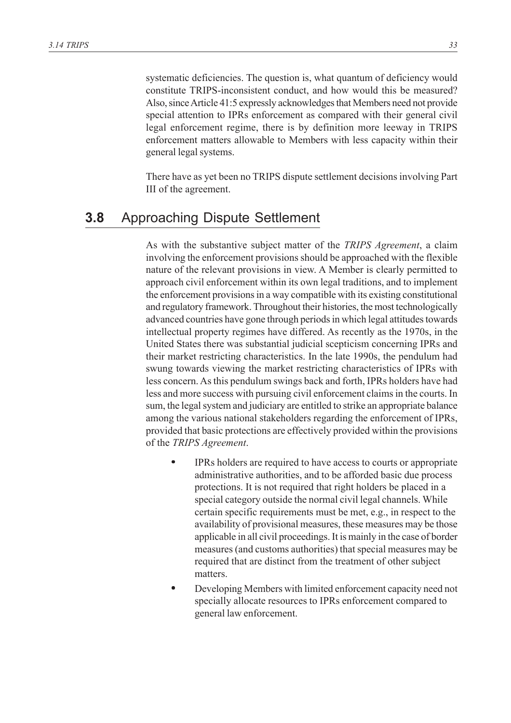systematic deficiencies. The question is, what quantum of deficiency would constitute TRIPS-inconsistent conduct, and how would this be measured? Also, since Article 41:5 expressly acknowledges that Members need not provide special attention to IPRs enforcement as compared with their general civil legal enforcement regime, there is by definition more leeway in TRIPS enforcement matters allowable to Members with less capacity within their general legal systems.

There have as yet been no TRIPS dispute settlement decisions involving Part III of the agreement.

### **3.8** Approaching Dispute Settlement

As with the substantive subject matter of the *TRIPS Agreement*, a claim involving the enforcement provisions should be approached with the flexible nature of the relevant provisions in view. A Member is clearly permitted to approach civil enforcement within its own legal traditions, and to implement the enforcement provisions in a way compatible with its existing constitutional and regulatory framework. Throughout their histories, the most technologically advanced countries have gone through periods in which legal attitudes towards intellectual property regimes have differed. As recently as the 1970s, in the United States there was substantial judicial scepticism concerning IPRs and their market restricting characteristics. In the late 1990s, the pendulum had swung towards viewing the market restricting characteristics of IPRs with less concern. As this pendulum swings back and forth, IPRs holders have had less and more success with pursuing civil enforcement claims in the courts. In sum, the legal system and judiciary are entitled to strike an appropriate balance among the various national stakeholders regarding the enforcement of IPRs, provided that basic protections are effectively provided within the provisions of the *TRIPS Agreement*.

- IPRs holders are required to have access to courts or appropriate administrative authorities, and to be afforded basic due process protections. It is not required that right holders be placed in a special category outside the normal civil legal channels. While certain specific requirements must be met, e.g., in respect to the availability of provisional measures, these measures may be those applicable in all civil proceedings. It is mainly in the case of border measures (and customs authorities) that special measures may be required that are distinct from the treatment of other subject matters.
- Developing Members with limited enforcement capacity need not specially allocate resources to IPRs enforcement compared to general law enforcement.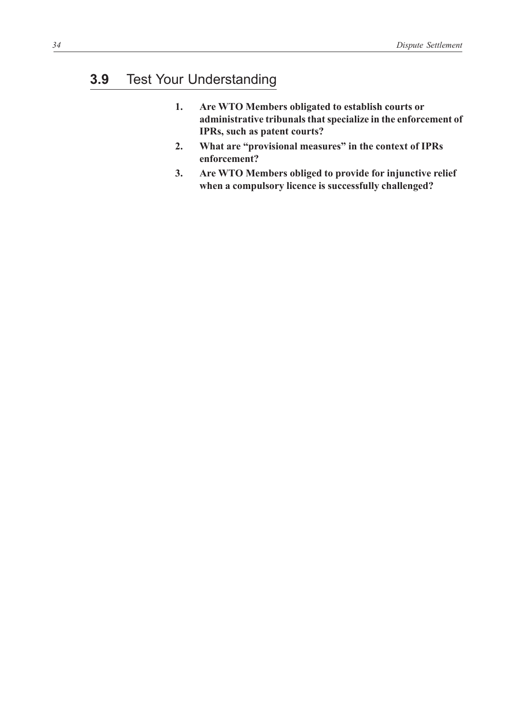## **3.9** Test Your Understanding

- **1. Are WTO Members obligated to establish courts or administrative tribunals that specialize in the enforcement of IPRs, such as patent courts?**
- **2. What are "provisional measures" in the context of IPRs enforcement?**
- **3. Are WTO Members obliged to provide for injunctive relief when a compulsory licence is successfully challenged?**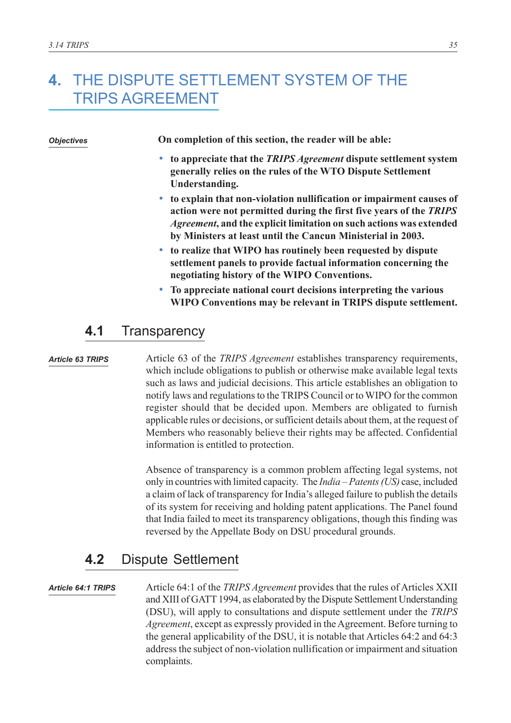## **4.** THE DISPUTE SETTLEMENT SYSTEM OF THE TRIPS AGREEMENT

*Objectives*

**On completion of this section, the reader will be able:**

- **to appreciate that the** *TRIPS Agreement* **dispute settlement system generally relies on the rules of the WTO Dispute Settlement Understanding.**
- **to explain that non-violation nullification or impairment causes of action were not permitted during the first five years of the** *TRIPS Agreement***, and the explicit limitation on such actions was extended by Ministers at least until the Cancun Ministerial in 2003.**
- **to realize that WIPO has routinely been requested by dispute settlement panels to provide factual information concerning the negotiating history of the WIPO Conventions.**
- **To appreciate national court decisions interpreting the various WIPO Conventions may be relevant in TRIPS dispute settlement.**

### **4.1** Transparency

#### *Article 63 TRIPS*

Article 63 of the *TRIPS Agreement* establishes transparency requirements, which include obligations to publish or otherwise make available legal texts such as laws and judicial decisions. This article establishes an obligation to notify laws and regulations to the TRIPS Council or to WIPO for the common register should that be decided upon. Members are obligated to furnish applicable rules or decisions, or sufficient details about them, at the request of Members who reasonably believe their rights may be affected. Confidential information is entitled to protection.

Absence of transparency is a common problem affecting legal systems, not only in countries with limited capacity. The *India – Patents (US)* case, included a claim of lack of transparency for India's alleged failure to publish the details of its system for receiving and holding patent applications. The Panel found that India failed to meet its transparency obligations, though this finding was reversed by the Appellate Body on DSU procedural grounds.

### **4.2** Dispute Settlement

Article 64:1 of the *TRIPS Agreement* provides that the rules of Articles XXII and XIII of GATT 1994, as elaborated by the Dispute Settlement Understanding (DSU), will apply to consultations and dispute settlement under the *TRIPS Agreement*, except as expressly provided in the Agreement. Before turning to the general applicability of the DSU, it is notable that Articles 64:2 and 64:3 address the subject of non-violation nullification or impairment and situation complaints. *Article 64:1 TRIPS*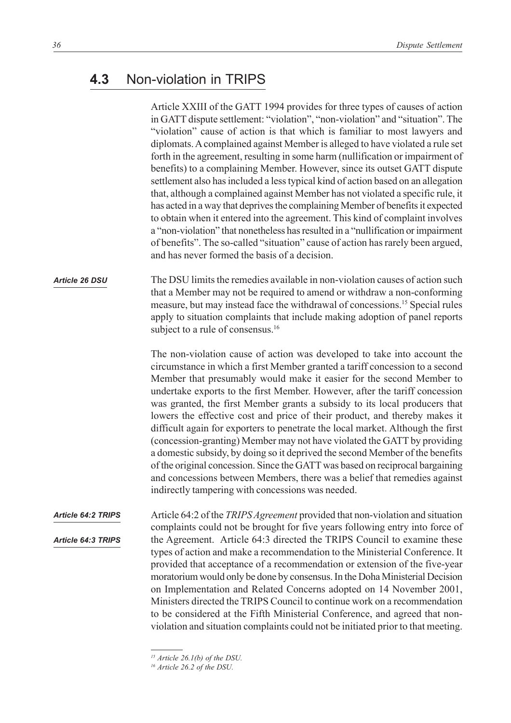### **4.3** Non-violation in TRIPS

Article XXIII of the GATT 1994 provides for three types of causes of action in GATT dispute settlement: "violation", "non-violation" and "situation". The "violation" cause of action is that which is familiar to most lawyers and diplomats. A complained against Member is alleged to have violated a rule set forth in the agreement, resulting in some harm (nullification or impairment of benefits) to a complaining Member. However, since its outset GATT dispute settlement also has included a less typical kind of action based on an allegation that, although a complained against Member has not violated a specific rule, it has acted in a way that deprives the complaining Member of benefits it expected to obtain when it entered into the agreement. This kind of complaint involves a "non-violation" that nonetheless has resulted in a "nullification or impairment of benefits". The so-called "situation" cause of action has rarely been argued, and has never formed the basis of a decision.

#### The DSU limits the remedies available in non-violation causes of action such that a Member may not be required to amend or withdraw a non-conforming measure, but may instead face the withdrawal of concessions.15 Special rules apply to situation complaints that include making adoption of panel reports subject to a rule of consensus.<sup>16</sup> *Article 26 DSU*

The non-violation cause of action was developed to take into account the circumstance in which a first Member granted a tariff concession to a second Member that presumably would make it easier for the second Member to undertake exports to the first Member. However, after the tariff concession was granted, the first Member grants a subsidy to its local producers that lowers the effective cost and price of their product, and thereby makes it difficult again for exporters to penetrate the local market. Although the first (concession-granting) Member may not have violated the GATT by providing a domestic subsidy, by doing so it deprived the second Member of the benefits of the original concession. Since the GATT was based on reciprocal bargaining and concessions between Members, there was a belief that remedies against indirectly tampering with concessions was needed.

Article 64:2 of the *TRIPS Agreement* provided that non-violation and situation complaints could not be brought for five years following entry into force of the Agreement. Article 64:3 directed the TRIPS Council to examine these types of action and make a recommendation to the Ministerial Conference. It provided that acceptance of a recommendation or extension of the five-year moratorium would only be done by consensus. In the Doha Ministerial Decision on Implementation and Related Concerns adopted on 14 November 2001, Ministers directed the TRIPS Council to continue work on a recommendation to be considered at the Fifth Ministerial Conference, and agreed that nonviolation and situation complaints could not be initiated prior to that meeting. *Article 64:2 TRIPS Article 64:3 TRIPS*

*<sup>15</sup> Article 26.1(b) of the DSU.*

*<sup>16</sup> Article 26.2 of the DSU.*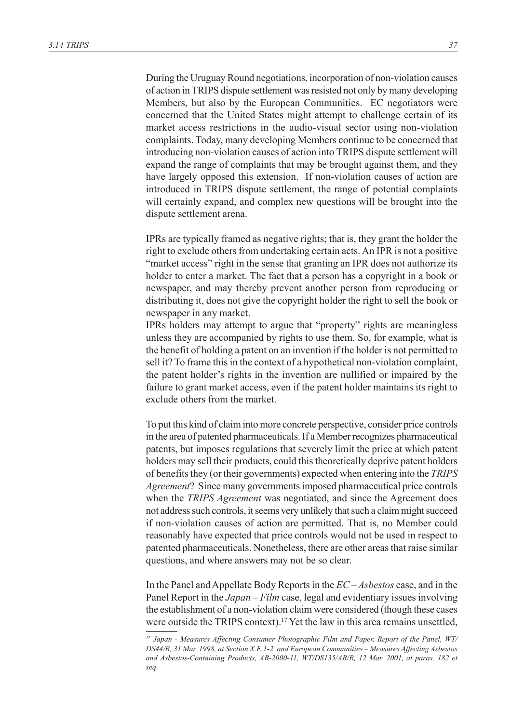During the Uruguay Round negotiations, incorporation of non-violation causes of action in TRIPS dispute settlement was resisted not only by many developing Members, but also by the European Communities. EC negotiators were concerned that the United States might attempt to challenge certain of its market access restrictions in the audio-visual sector using non-violation complaints. Today, many developing Members continue to be concerned that introducing non-violation causes of action into TRIPS dispute settlement will expand the range of complaints that may be brought against them, and they have largely opposed this extension. If non-violation causes of action are introduced in TRIPS dispute settlement, the range of potential complaints will certainly expand, and complex new questions will be brought into the dispute settlement arena.

IPRs are typically framed as negative rights; that is, they grant the holder the right to exclude others from undertaking certain acts. An IPR is not a positive "market access" right in the sense that granting an IPR does not authorize its holder to enter a market. The fact that a person has a copyright in a book or newspaper, and may thereby prevent another person from reproducing or distributing it, does not give the copyright holder the right to sell the book or newspaper in any market.

IPRs holders may attempt to argue that "property" rights are meaningless unless they are accompanied by rights to use them. So, for example, what is the benefit of holding a patent on an invention if the holder is not permitted to sell it? To frame this in the context of a hypothetical non-violation complaint, the patent holder's rights in the invention are nullified or impaired by the failure to grant market access, even if the patent holder maintains its right to exclude others from the market.

To put this kind of claim into more concrete perspective, consider price controls in the area of patented pharmaceuticals. If a Member recognizes pharmaceutical patents, but imposes regulations that severely limit the price at which patent holders may sell their products, could this theoretically deprive patent holders of benefits they (or their governments) expected when entering into the *TRIPS Agreement*? Since many governments imposed pharmaceutical price controls when the *TRIPS Agreement* was negotiated, and since the Agreement does not address such controls, it seems very unlikely that such a claim might succeed if non-violation causes of action are permitted. That is, no Member could reasonably have expected that price controls would not be used in respect to patented pharmaceuticals. Nonetheless, there are other areas that raise similar questions, and where answers may not be so clear.

In the Panel and Appellate Body Reports in the *EC – Asbestos* case, and in the Panel Report in the *Japan – Film* case, legal and evidentiary issues involving the establishment of a non-violation claim were considered (though these cases were outside the TRIPS context).<sup>17</sup> Yet the law in this area remains unsettled,

*<sup>17</sup> Japan - Measures Affecting Consumer Photographic Film and Paper, Report of the Panel, WT/ DS44/R, 31 Mar. 1998, at Section X.E.1-2, and European Communities – Measures Affecting Asbestos and Asbestos-Containing Products, AB-2000-11, WT/DS135/AB/R, 12 Mar. 2001, at paras. 182 et seq.*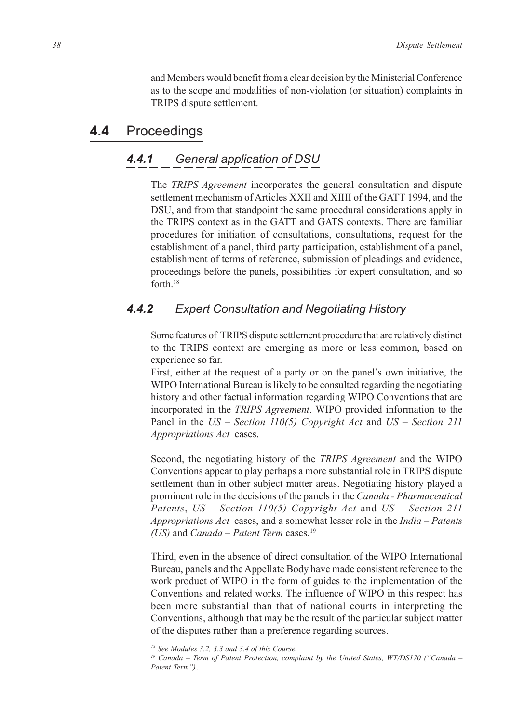and Members would benefit from a clear decision by the Ministerial Conference as to the scope and modalities of non-violation (or situation) complaints in TRIPS dispute settlement.

### **4.4** Proceedings

### *4.4.1 General application of DSU*

The *TRIPS Agreement* incorporates the general consultation and dispute settlement mechanism of Articles XXII and XIIII of the GATT 1994, and the DSU, and from that standpoint the same procedural considerations apply in the TRIPS context as in the GATT and GATS contexts. There are familiar procedures for initiation of consultations, consultations, request for the establishment of a panel, third party participation, establishment of a panel, establishment of terms of reference, submission of pleadings and evidence, proceedings before the panels, possibilities for expert consultation, and so forth $18$ 

### *4.4.2 Expert Consultation and Negotiating History*

Some features of TRIPS dispute settlement procedure that are relatively distinct to the TRIPS context are emerging as more or less common, based on experience so far.

First, either at the request of a party or on the panel's own initiative, the WIPO International Bureau is likely to be consulted regarding the negotiating history and other factual information regarding WIPO Conventions that are incorporated in the *TRIPS Agreement*. WIPO provided information to the Panel in the *US – Section 110(5) Copyright Act* and *US – Section 211 Appropriations Act* cases.

Second, the negotiating history of the *TRIPS Agreement* and the WIPO Conventions appear to play perhaps a more substantial role in TRIPS dispute settlement than in other subject matter areas. Negotiating history played a prominent role in the decisions of the panels in the *Canada - Pharmaceutical Patents*, *US – Section 110(5) Copyright Act* and *US – Section 211 Appropriations Act* cases, and a somewhat lesser role in the *India – Patents (US)* and *Canada – Patent Term* cases.<sup>19</sup>

Third, even in the absence of direct consultation of the WIPO International Bureau, panels and the Appellate Body have made consistent reference to the work product of WIPO in the form of guides to the implementation of the Conventions and related works. The influence of WIPO in this respect has been more substantial than that of national courts in interpreting the Conventions, although that may be the result of the particular subject matter of the disputes rather than a preference regarding sources.

*<sup>18</sup> See Modules 3.2, 3.3 and 3.4 of this Course.*

*<sup>19</sup> Canada – Term of Patent Protection, complaint by the United States, WT/DS170 ("Canada – Patent Term").*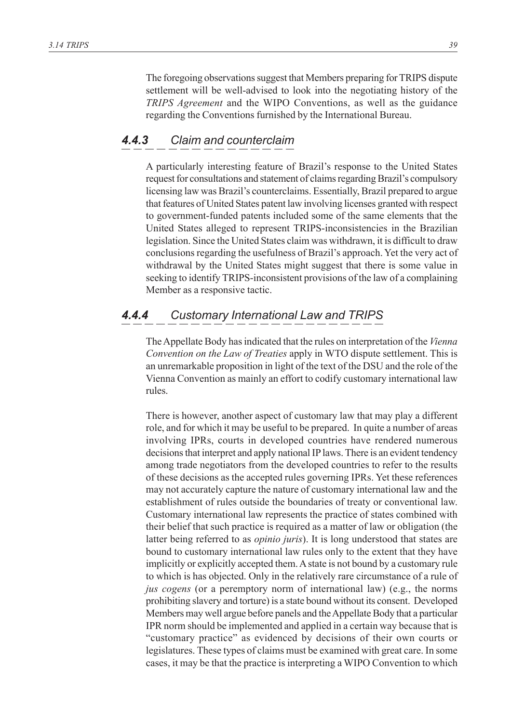The foregoing observations suggest that Members preparing for TRIPS dispute settlement will be well-advised to look into the negotiating history of the *TRIPS Agreement* and the WIPO Conventions, as well as the guidance regarding the Conventions furnished by the International Bureau.

### *4.4.3 Claim and counterclaim*

A particularly interesting feature of Brazil's response to the United States request for consultations and statement of claims regarding Brazil's compulsory licensing law was Brazil's counterclaims. Essentially, Brazil prepared to argue that features of United States patent law involving licenses granted with respect to government-funded patents included some of the same elements that the United States alleged to represent TRIPS-inconsistencies in the Brazilian legislation. Since the United States claim was withdrawn, it is difficult to draw conclusions regarding the usefulness of Brazil's approach. Yet the very act of withdrawal by the United States might suggest that there is some value in seeking to identify TRIPS-inconsistent provisions of the law of a complaining Member as a responsive tactic.

### *4.4.4 Customary International Law and TRIPS*

The Appellate Body has indicated that the rules on interpretation of the *Vienna Convention on the Law of Treaties* apply in WTO dispute settlement. This is an unremarkable proposition in light of the text of the DSU and the role of the Vienna Convention as mainly an effort to codify customary international law rules.

There is however, another aspect of customary law that may play a different role, and for which it may be useful to be prepared. In quite a number of areas involving IPRs, courts in developed countries have rendered numerous decisions that interpret and apply national IP laws. There is an evident tendency among trade negotiators from the developed countries to refer to the results of these decisions as the accepted rules governing IPRs. Yet these references may not accurately capture the nature of customary international law and the establishment of rules outside the boundaries of treaty or conventional law. Customary international law represents the practice of states combined with their belief that such practice is required as a matter of law or obligation (the latter being referred to as *opinio juris*). It is long understood that states are bound to customary international law rules only to the extent that they have implicitly or explicitly accepted them. A state is not bound by a customary rule to which is has objected. Only in the relatively rare circumstance of a rule of *jus cogens* (or a peremptory norm of international law) (e.g., the norms prohibiting slavery and torture) is a state bound without its consent. Developed Members may well argue before panels and the Appellate Body that a particular IPR norm should be implemented and applied in a certain way because that is "customary practice" as evidenced by decisions of their own courts or legislatures. These types of claims must be examined with great care. In some cases, it may be that the practice is interpreting a WIPO Convention to which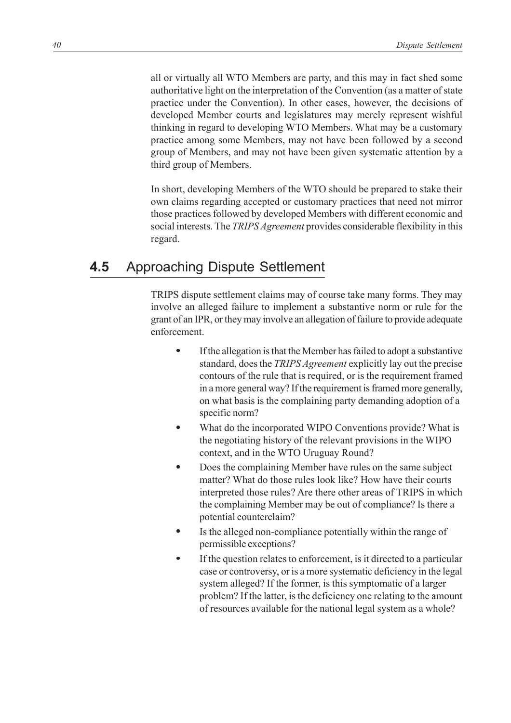all or virtually all WTO Members are party, and this may in fact shed some authoritative light on the interpretation of the Convention (as a matter of state practice under the Convention). In other cases, however, the decisions of developed Member courts and legislatures may merely represent wishful thinking in regard to developing WTO Members. What may be a customary practice among some Members, may not have been followed by a second group of Members, and may not have been given systematic attention by a third group of Members.

In short, developing Members of the WTO should be prepared to stake their own claims regarding accepted or customary practices that need not mirror those practices followed by developed Members with different economic and social interests. The *TRIPS Agreement* provides considerable flexibility in this regard.

### **4.5** Approaching Dispute Settlement

TRIPS dispute settlement claims may of course take many forms. They may involve an alleged failure to implement a substantive norm or rule for the grant of an IPR, or they may involve an allegation of failure to provide adequate enforcement.

- If the allegation is that the Member has failed to adopt a substantive standard, does the *TRIPS Agreement* explicitly lay out the precise contours of the rule that is required, or is the requirement framed in a more general way? If the requirement is framed more generally, on what basis is the complaining party demanding adoption of a specific norm?
- What do the incorporated WIPO Conventions provide? What is the negotiating history of the relevant provisions in the WIPO context, and in the WTO Uruguay Round?
- Does the complaining Member have rules on the same subject matter? What do those rules look like? How have their courts interpreted those rules? Are there other areas of TRIPS in which the complaining Member may be out of compliance? Is there a potential counterclaim?
- Is the alleged non-compliance potentially within the range of permissible exceptions?
- If the question relates to enforcement, is it directed to a particular case or controversy, or is a more systematic deficiency in the legal system alleged? If the former, is this symptomatic of a larger problem? If the latter, is the deficiency one relating to the amount of resources available for the national legal system as a whole?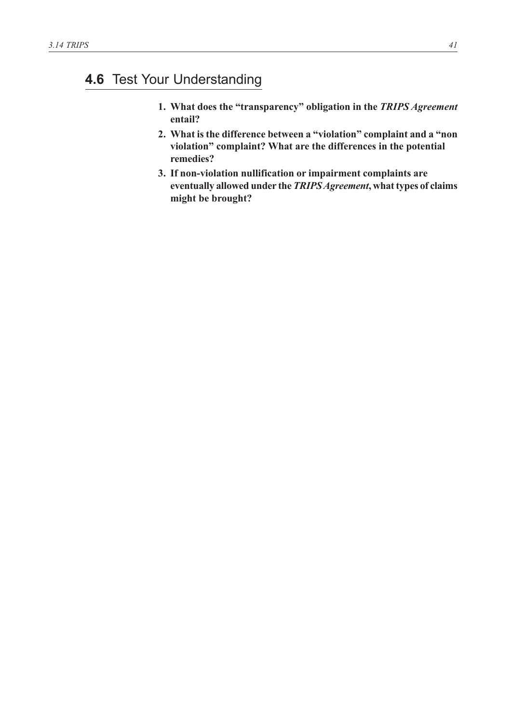### **4.6** Test Your Understanding

- **1. What does the "transparency" obligation in the** *TRIPS Agreement* **entail?**
- **2. What is the difference between a "violation" complaint and a "non violation" complaint? What are the differences in the potential remedies?**
- **3. If non-violation nullification or impairment complaints are eventually allowed under the** *TRIPS Agreement***, what types of claims might be brought?**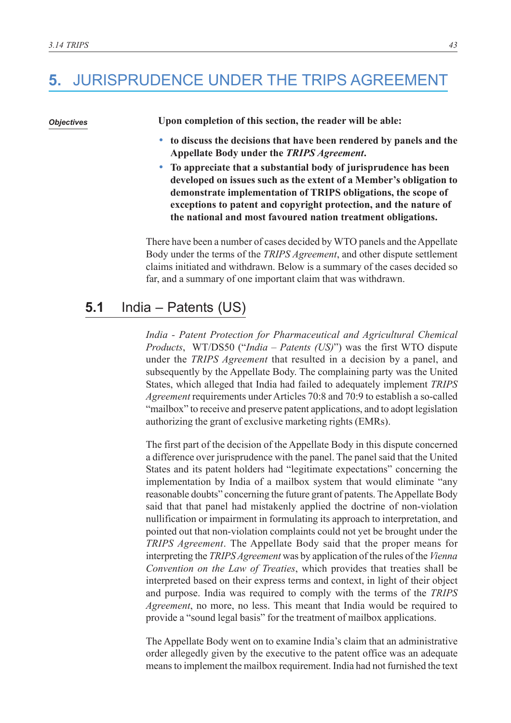## **5.** JURISPRUDENCE UNDER THE TRIPS AGREEMENT

*Objectives*

**Upon completion of this section, the reader will be able:**

- **to discuss the decisions that have been rendered by panels and the Appellate Body under the** *TRIPS Agreement***.**
- **To appreciate that a substantial body of jurisprudence has been developed on issues such as the extent of a Member's obligation to demonstrate implementation of TRIPS obligations, the scope of exceptions to patent and copyright protection, and the nature of the national and most favoured nation treatment obligations.**

There have been a number of cases decided by WTO panels and the Appellate Body under the terms of the *TRIPS Agreement*, and other dispute settlement claims initiated and withdrawn. Below is a summary of the cases decided so far, and a summary of one important claim that was withdrawn.

### **5.1** India – Patents (US)

*India - Patent Protection for Pharmaceutical and Agricultural Chemical Products*, WT/DS50 ("*India – Patents (US)*") was the first WTO dispute under the *TRIPS Agreement* that resulted in a decision by a panel, and subsequently by the Appellate Body. The complaining party was the United States, which alleged that India had failed to adequately implement *TRIPS Agreement* requirements under Articles 70:8 and 70:9 to establish a so-called "mailbox" to receive and preserve patent applications, and to adopt legislation authorizing the grant of exclusive marketing rights (EMRs).

The first part of the decision of the Appellate Body in this dispute concerned a difference over jurisprudence with the panel. The panel said that the United States and its patent holders had "legitimate expectations" concerning the implementation by India of a mailbox system that would eliminate "any reasonable doubts" concerning the future grant of patents. The Appellate Body said that that panel had mistakenly applied the doctrine of non-violation nullification or impairment in formulating its approach to interpretation, and pointed out that non-violation complaints could not yet be brought under the *TRIPS Agreement*. The Appellate Body said that the proper means for interpreting the *TRIPS Agreement* was by application of the rules of the *Vienna Convention on the Law of Treaties*, which provides that treaties shall be interpreted based on their express terms and context, in light of their object and purpose. India was required to comply with the terms of the *TRIPS Agreement*, no more, no less. This meant that India would be required to provide a "sound legal basis" for the treatment of mailbox applications.

The Appellate Body went on to examine India's claim that an administrative order allegedly given by the executive to the patent office was an adequate means to implement the mailbox requirement. India had not furnished the text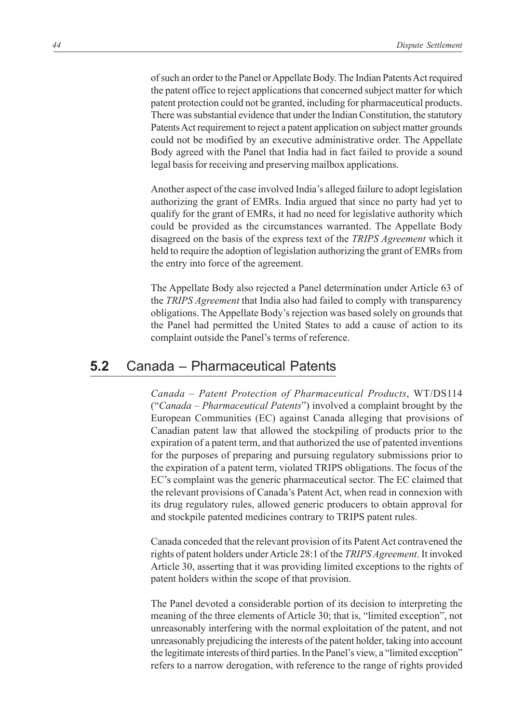of such an order to the Panel or Appellate Body. The Indian Patents Act required the patent office to reject applications that concerned subject matter for which patent protection could not be granted, including for pharmaceutical products. There was substantial evidence that under the Indian Constitution, the statutory Patents Act requirement to reject a patent application on subject matter grounds could not be modified by an executive administrative order. The Appellate Body agreed with the Panel that India had in fact failed to provide a sound legal basis for receiving and preserving mailbox applications.

Another aspect of the case involved India's alleged failure to adopt legislation authorizing the grant of EMRs. India argued that since no party had yet to qualify for the grant of EMRs, it had no need for legislative authority which could be provided as the circumstances warranted. The Appellate Body disagreed on the basis of the express text of the *TRIPS Agreement* which it held to require the adoption of legislation authorizing the grant of EMRs from the entry into force of the agreement.

The Appellate Body also rejected a Panel determination under Article 63 of the *TRIPS Agreement* that India also had failed to comply with transparency obligations. The Appellate Body's rejection was based solely on grounds that the Panel had permitted the United States to add a cause of action to its complaint outside the Panel's terms of reference.

### **5.2** Canada – Pharmaceutical Patents

*Canada – Patent Protection of Pharmaceutical Products*, WT/DS114 ("*Canada – Pharmaceutical Patents*") involved a complaint brought by the European Communities (EC) against Canada alleging that provisions of Canadian patent law that allowed the stockpiling of products prior to the expiration of a patent term, and that authorized the use of patented inventions for the purposes of preparing and pursuing regulatory submissions prior to the expiration of a patent term, violated TRIPS obligations. The focus of the EC's complaint was the generic pharmaceutical sector. The EC claimed that the relevant provisions of Canada's Patent Act, when read in connexion with its drug regulatory rules, allowed generic producers to obtain approval for and stockpile patented medicines contrary to TRIPS patent rules.

Canada conceded that the relevant provision of its Patent Act contravened the rights of patent holders under Article 28:1 of the *TRIPS Agreement*. It invoked Article 30, asserting that it was providing limited exceptions to the rights of patent holders within the scope of that provision.

The Panel devoted a considerable portion of its decision to interpreting the meaning of the three elements of Article 30; that is, "limited exception", not unreasonably interfering with the normal exploitation of the patent, and not unreasonably prejudicing the interests of the patent holder, taking into account the legitimate interests of third parties. In the Panel's view, a "limited exception" refers to a narrow derogation, with reference to the range of rights provided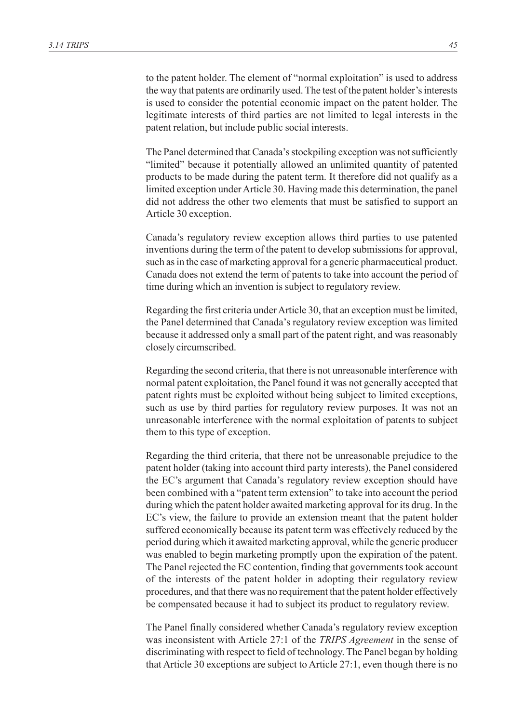to the patent holder. The element of "normal exploitation" is used to address the way that patents are ordinarily used. The test of the patent holder's interests is used to consider the potential economic impact on the patent holder. The legitimate interests of third parties are not limited to legal interests in the patent relation, but include public social interests.

The Panel determined that Canada's stockpiling exception was not sufficiently "limited" because it potentially allowed an unlimited quantity of patented products to be made during the patent term. It therefore did not qualify as a limited exception under Article 30. Having made this determination, the panel did not address the other two elements that must be satisfied to support an Article 30 exception.

Canada's regulatory review exception allows third parties to use patented inventions during the term of the patent to develop submissions for approval, such as in the case of marketing approval for a generic pharmaceutical product. Canada does not extend the term of patents to take into account the period of time during which an invention is subject to regulatory review.

Regarding the first criteria under Article 30, that an exception must be limited, the Panel determined that Canada's regulatory review exception was limited because it addressed only a small part of the patent right, and was reasonably closely circumscribed.

Regarding the second criteria, that there is not unreasonable interference with normal patent exploitation, the Panel found it was not generally accepted that patent rights must be exploited without being subject to limited exceptions, such as use by third parties for regulatory review purposes. It was not an unreasonable interference with the normal exploitation of patents to subject them to this type of exception.

Regarding the third criteria, that there not be unreasonable prejudice to the patent holder (taking into account third party interests), the Panel considered the EC's argument that Canada's regulatory review exception should have been combined with a "patent term extension" to take into account the period during which the patent holder awaited marketing approval for its drug. In the EC's view, the failure to provide an extension meant that the patent holder suffered economically because its patent term was effectively reduced by the period during which it awaited marketing approval, while the generic producer was enabled to begin marketing promptly upon the expiration of the patent. The Panel rejected the EC contention, finding that governments took account of the interests of the patent holder in adopting their regulatory review procedures, and that there was no requirement that the patent holder effectively be compensated because it had to subject its product to regulatory review.

The Panel finally considered whether Canada's regulatory review exception was inconsistent with Article 27:1 of the *TRIPS Agreement* in the sense of discriminating with respect to field of technology. The Panel began by holding that Article 30 exceptions are subject to Article 27:1, even though there is no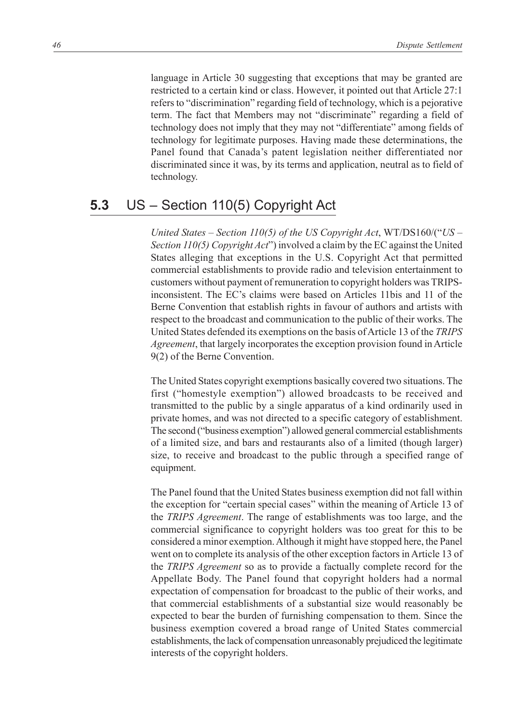language in Article 30 suggesting that exceptions that may be granted are restricted to a certain kind or class. However, it pointed out that Article 27:1 refers to "discrimination" regarding field of technology, which is a pejorative term. The fact that Members may not "discriminate" regarding a field of technology does not imply that they may not "differentiate" among fields of technology for legitimate purposes. Having made these determinations, the Panel found that Canada's patent legislation neither differentiated nor discriminated since it was, by its terms and application, neutral as to field of technology.

### **5.3** US – Section 110(5) Copyright Act

*United States – Section 110(5) of the US Copyright Act*, WT/DS160/("*US – Section 110(5) Copyright Act*") involved a claim by the EC against the United States alleging that exceptions in the U.S. Copyright Act that permitted commercial establishments to provide radio and television entertainment to customers without payment of remuneration to copyright holders was TRIPSinconsistent. The EC's claims were based on Articles 11bis and 11 of the Berne Convention that establish rights in favour of authors and artists with respect to the broadcast and communication to the public of their works. The United States defended its exemptions on the basis of Article 13 of the *TRIPS Agreement*, that largely incorporates the exception provision found in Article 9(2) of the Berne Convention.

The United States copyright exemptions basically covered two situations. The first ("homestyle exemption") allowed broadcasts to be received and transmitted to the public by a single apparatus of a kind ordinarily used in private homes, and was not directed to a specific category of establishment. The second ("business exemption") allowed general commercial establishments of a limited size, and bars and restaurants also of a limited (though larger) size, to receive and broadcast to the public through a specified range of equipment.

The Panel found that the United States business exemption did not fall within the exception for "certain special cases" within the meaning of Article 13 of the *TRIPS Agreement*. The range of establishments was too large, and the commercial significance to copyright holders was too great for this to be considered a minor exemption. Although it might have stopped here, the Panel went on to complete its analysis of the other exception factors in Article 13 of the *TRIPS Agreement* so as to provide a factually complete record for the Appellate Body. The Panel found that copyright holders had a normal expectation of compensation for broadcast to the public of their works, and that commercial establishments of a substantial size would reasonably be expected to bear the burden of furnishing compensation to them. Since the business exemption covered a broad range of United States commercial establishments, the lack of compensation unreasonably prejudiced the legitimate interests of the copyright holders.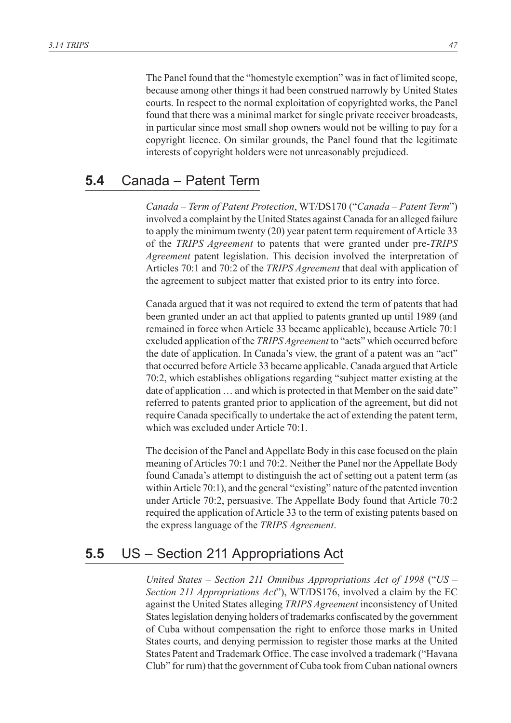The Panel found that the "homestyle exemption" was in fact of limited scope, because among other things it had been construed narrowly by United States courts. In respect to the normal exploitation of copyrighted works, the Panel found that there was a minimal market for single private receiver broadcasts, in particular since most small shop owners would not be willing to pay for a copyright licence. On similar grounds, the Panel found that the legitimate interests of copyright holders were not unreasonably prejudiced.

### **5.4** Canada – Patent Term

*Canada – Term of Patent Protection*, WT/DS170 ("*Canada – Patent Term*") involved a complaint by the United States against Canada for an alleged failure to apply the minimum twenty (20) year patent term requirement of Article 33 of the *TRIPS Agreement* to patents that were granted under pre-*TRIPS Agreement* patent legislation. This decision involved the interpretation of Articles 70:1 and 70:2 of the *TRIPS Agreement* that deal with application of the agreement to subject matter that existed prior to its entry into force.

Canada argued that it was not required to extend the term of patents that had been granted under an act that applied to patents granted up until 1989 (and remained in force when Article 33 became applicable), because Article 70:1 excluded application of the *TRIPS Agreement* to "acts" which occurred before the date of application. In Canada's view, the grant of a patent was an "act" that occurred before Article 33 became applicable. Canada argued that Article 70:2, which establishes obligations regarding "subject matter existing at the date of application … and which is protected in that Member on the said date" referred to patents granted prior to application of the agreement, but did not require Canada specifically to undertake the act of extending the patent term, which was excluded under Article 70:1.

The decision of the Panel and Appellate Body in this case focused on the plain meaning of Articles 70:1 and 70:2. Neither the Panel nor the Appellate Body found Canada's attempt to distinguish the act of setting out a patent term (as within Article 70:1), and the general "existing" nature of the patented invention under Article 70:2, persuasive. The Appellate Body found that Article 70:2 required the application of Article 33 to the term of existing patents based on the express language of the *TRIPS Agreement*.

### **5.5** US – Section 211 Appropriations Act

*United States – Section 211 Omnibus Appropriations Act of 1998* ("*US – Section 211 Appropriations Act*"), WT/DS176, involved a claim by the EC against the United States alleging *TRIPS Agreement* inconsistency of United States legislation denying holders of trademarks confiscated by the government of Cuba without compensation the right to enforce those marks in United States courts, and denying permission to register those marks at the United States Patent and Trademark Office. The case involved a trademark ("Havana Club" for rum) that the government of Cuba took from Cuban national owners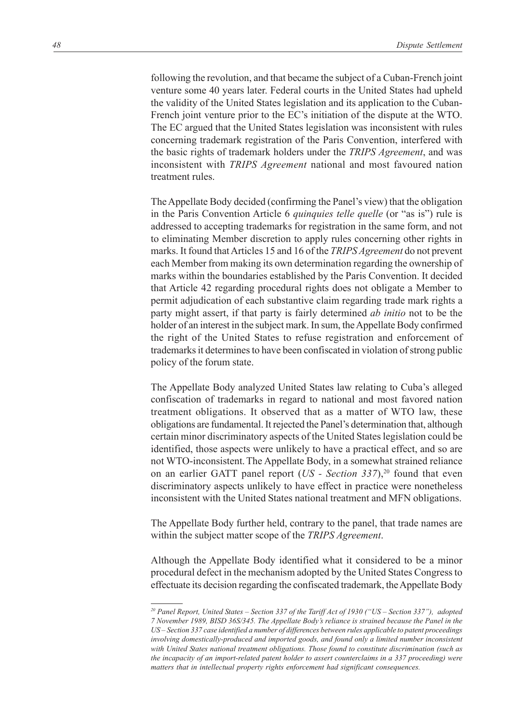following the revolution, and that became the subject of a Cuban-French joint venture some 40 years later. Federal courts in the United States had upheld the validity of the United States legislation and its application to the Cuban-French joint venture prior to the EC's initiation of the dispute at the WTO. The EC argued that the United States legislation was inconsistent with rules concerning trademark registration of the Paris Convention, interfered with the basic rights of trademark holders under the *TRIPS Agreement*, and was inconsistent with *TRIPS Agreement* national and most favoured nation treatment rules.

The Appellate Body decided (confirming the Panel's view) that the obligation in the Paris Convention Article 6 *quinquies telle quelle* (or "as is") rule is addressed to accepting trademarks for registration in the same form, and not to eliminating Member discretion to apply rules concerning other rights in marks. It found that Articles 15 and 16 of the *TRIPS Agreement* do not prevent each Member from making its own determination regarding the ownership of marks within the boundaries established by the Paris Convention. It decided that Article 42 regarding procedural rights does not obligate a Member to permit adjudication of each substantive claim regarding trade mark rights a party might assert, if that party is fairly determined *ab initio* not to be the holder of an interest in the subject mark. In sum, the Appellate Body confirmed the right of the United States to refuse registration and enforcement of trademarks it determines to have been confiscated in violation of strong public policy of the forum state.

The Appellate Body analyzed United States law relating to Cuba's alleged confiscation of trademarks in regard to national and most favored nation treatment obligations. It observed that as a matter of WTO law, these obligations are fundamental. It rejected the Panel's determination that, although certain minor discriminatory aspects of the United States legislation could be identified, those aspects were unlikely to have a practical effect, and so are not WTO-inconsistent.The Appellate Body, in a somewhat strained reliance on an earlier GATT panel report  $(US - Section 337)$ ,<sup>20</sup> found that even discriminatory aspects unlikely to have effect in practice were nonetheless inconsistent with the United States national treatment and MFN obligations.

The Appellate Body further held, contrary to the panel, that trade names are within the subject matter scope of the *TRIPS Agreement*.

Although the Appellate Body identified what it considered to be a minor procedural defect in the mechanism adopted by the United States Congress to effectuate its decision regarding the confiscated trademark, the Appellate Body

*<sup>20</sup> Panel Report, United States – Section 337 of the Tariff Act of 1930 ("US – Section 337"), adopted 7 November 1989, BISD 36S/345. The Appellate Body's reliance is strained because the Panel in the US – Section 337 case identified a number of differences between rules applicable to patent proceedings involving domestically-produced and imported goods, and found only a limited number inconsistent with United States national treatment obligations. Those found to constitute discrimination (such as the incapacity of an import-related patent holder to assert counterclaims in a 337 proceeding) were matters that in intellectual property rights enforcement had significant consequences.*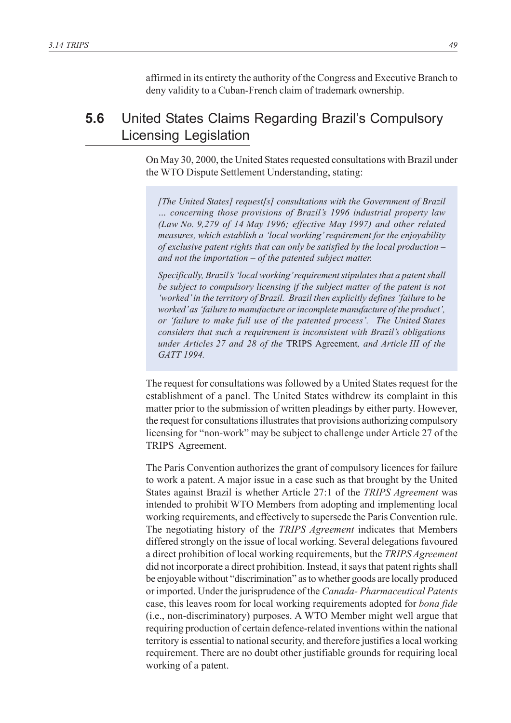affirmed in its entirety the authority of the Congress and Executive Branch to deny validity to a Cuban-French claim of trademark ownership.

### **5.6** United States Claims Regarding Brazil's Compulsory Licensing Legislation

On May 30, 2000, the United States requested consultations with Brazil under the WTO Dispute Settlement Understanding, stating:

*[The United States] request[s] consultations with the Government of Brazil … concerning those provisions of Brazil's 1996 industrial property law (Law No. 9,279 of 14 May 1996; effective May 1997) and other related measures, which establish a 'local working' requirement for the enjoyability of exclusive patent rights that can only be satisfied by the local production – and not the importation – of the patented subject matter.*

*Specifically, Brazil's 'local working' requirement stipulates that a patent shall be subject to compulsory licensing if the subject matter of the patent is not 'worked' in the territory of Brazil. Brazil then explicitly defines 'failure to be worked' as 'failure to manufacture or incomplete manufacture of the product', or 'failure to make full use of the patented process'. The United States considers that such a requirement is inconsistent with Brazil's obligations under Articles 27 and 28 of the* TRIPS Agreement*, and Article III of the GATT 1994.*

The request for consultations was followed by a United States request for the establishment of a panel. The United States withdrew its complaint in this matter prior to the submission of written pleadings by either party. However, the request for consultations illustrates that provisions authorizing compulsory licensing for "non-work" may be subject to challenge under Article 27 of the TRIPS Agreement.

The Paris Convention authorizes the grant of compulsory licences for failure to work a patent. A major issue in a case such as that brought by the United States against Brazil is whether Article 27:1 of the *TRIPS Agreement* was intended to prohibit WTO Members from adopting and implementing local working requirements, and effectively to supersede the Paris Convention rule. The negotiating history of the *TRIPS Agreement* indicates that Members differed strongly on the issue of local working. Several delegations favoured a direct prohibition of local working requirements, but the *TRIPS Agreement* did not incorporate a direct prohibition. Instead, it says that patent rights shall be enjoyable without "discrimination" as to whether goods are locally produced or imported. Under the jurisprudence of the *Canada- Pharmaceutical Patents* case, this leaves room for local working requirements adopted for *bona fide* (i.e., non-discriminatory) purposes. A WTO Member might well argue that requiring production of certain defence-related inventions within the national territory is essential to national security, and therefore justifies a local working requirement. There are no doubt other justifiable grounds for requiring local working of a patent.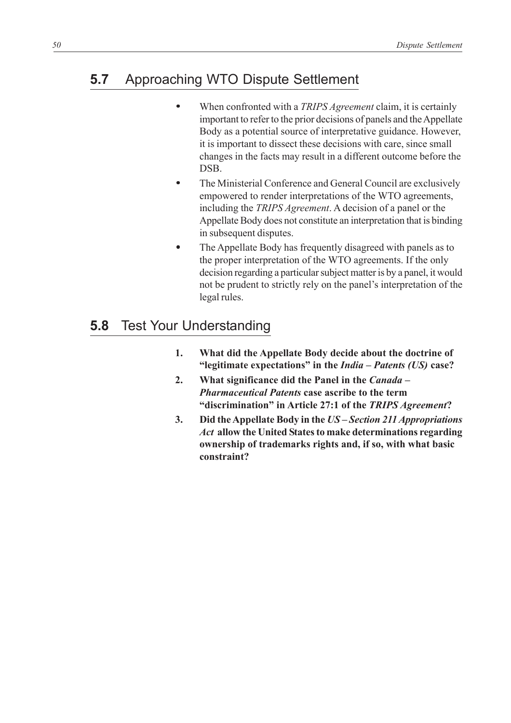### **5.7** Approaching WTO Dispute Settlement

- When confronted with a *TRIPS Agreement* claim, it is certainly important to refer to the prior decisions of panels and the Appellate Body as a potential source of interpretative guidance. However, it is important to dissect these decisions with care, since small changes in the facts may result in a different outcome before the DSB.
- The Ministerial Conference and General Council are exclusively empowered to render interpretations of the WTO agreements, including the *TRIPS Agreement*. A decision of a panel or the Appellate Body does not constitute an interpretation that is binding in subsequent disputes.
- The Appellate Body has frequently disagreed with panels as to the proper interpretation of the WTO agreements. If the only decision regarding a particular subject matter is by a panel, it would not be prudent to strictly rely on the panel's interpretation of the legal rules.

### **5.8** Test Your Understanding

- **1. What did the Appellate Body decide about the doctrine of "legitimate expectations" in the** *India – Patents (US)* **case?**
- **2. What significance did the Panel in the** *Canada – Pharmaceutical Patents* **case ascribe to the term "discrimination" in Article 27:1 of the** *TRIPS Agreement***?**
- **3. Did the Appellate Body in the** *US Section 211 Appropriations Act* **allow the United States to make determinations regarding ownership of trademarks rights and, if so, with what basic constraint?**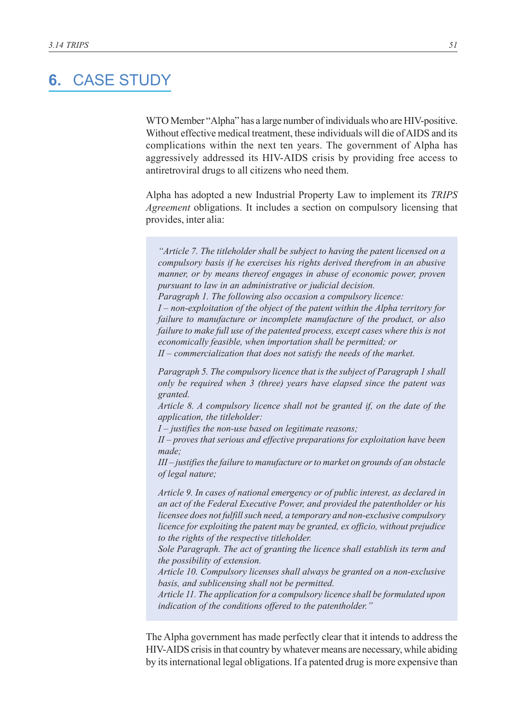## **6.** CASE STUDY

WTO Member "Alpha" has a large number of individuals who are HIV-positive. Without effective medical treatment, these individuals will die of AIDS and its complications within the next ten years. The government of Alpha has aggressively addressed its HIV-AIDS crisis by providing free access to antiretroviral drugs to all citizens who need them.

Alpha has adopted a new Industrial Property Law to implement its *TRIPS Agreement* obligations. It includes a section on compulsory licensing that provides, inter alia:

*"Article 7. The titleholder shall be subject to having the patent licensed on a compulsory basis if he exercises his rights derived therefrom in an abusive manner, or by means thereof engages in abuse of economic power, proven pursuant to law in an administrative or judicial decision.*

*Paragraph 1. The following also occasion a compulsory licence:*

*I – non-exploitation of the object of the patent within the Alpha territory for failure to manufacture or incomplete manufacture of the product, or also failure to make full use of the patented process, except cases where this is not economically feasible, when importation shall be permitted; or*

*II – commercialization that does not satisfy the needs of the market.*

*Paragraph 5. The compulsory licence that is the subject of Paragraph 1 shall only be required when 3 (three) years have elapsed since the patent was granted.*

*Article 8. A compulsory licence shall not be granted if, on the date of the application, the titleholder:*

*I – justifies the non-use based on legitimate reasons;*

*II – proves that serious and effective preparations for exploitation have been made;*

*III – justifies the failure to manufacture or to market on grounds of an obstacle of legal nature;*

*Article 9. In cases of national emergency or of public interest, as declared in an act of the Federal Executive Power, and provided the patentholder or his licensee does not fulfill such need, a temporary and non-exclusive compulsory licence for exploiting the patent may be granted, ex officio, without prejudice to the rights of the respective titleholder.*

*Sole Paragraph. The act of granting the licence shall establish its term and the possibility of extension.*

*Article 10. Compulsory licenses shall always be granted on a non-exclusive basis, and sublicensing shall not be permitted.*

*Article 11. The application for a compulsory licence shall be formulated upon indication of the conditions offered to the patentholder."*

The Alpha government has made perfectly clear that it intends to address the HIV-AIDS crisis in that country by whatever means are necessary, while abiding by its international legal obligations. If a patented drug is more expensive than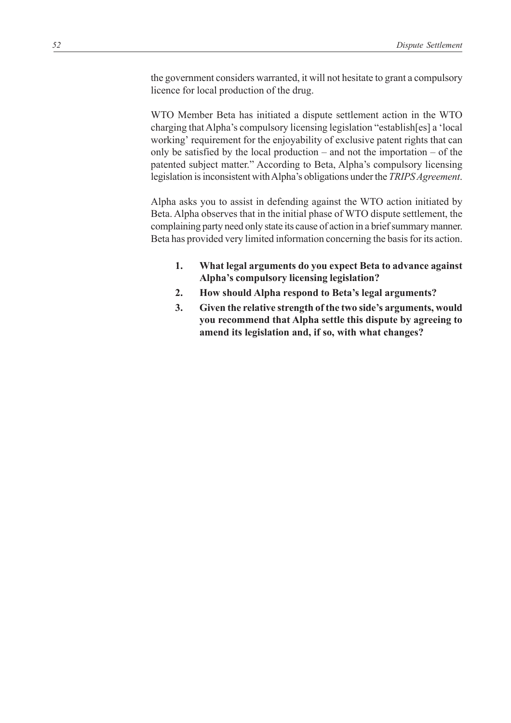the government considers warranted, it will not hesitate to grant a compulsory licence for local production of the drug.

WTO Member Beta has initiated a dispute settlement action in the WTO charging that Alpha's compulsory licensing legislation "establish[es] a 'local working' requirement for the enjoyability of exclusive patent rights that can only be satisfied by the local production – and not the importation – of the patented subject matter." According to Beta, Alpha's compulsory licensing legislation is inconsistent with Alpha's obligations under the *TRIPS Agreement*.

Alpha asks you to assist in defending against the WTO action initiated by Beta. Alpha observes that in the initial phase of WTO dispute settlement, the complaining party need only state its cause of action in a brief summary manner. Beta has provided very limited information concerning the basis for its action.

- **1. What legal arguments do you expect Beta to advance against Alpha's compulsory licensing legislation?**
- **2. How should Alpha respond to Beta's legal arguments?**
- **3. Given the relative strength of the two side's arguments, would you recommend that Alpha settle this dispute by agreeing to amend its legislation and, if so, with what changes?**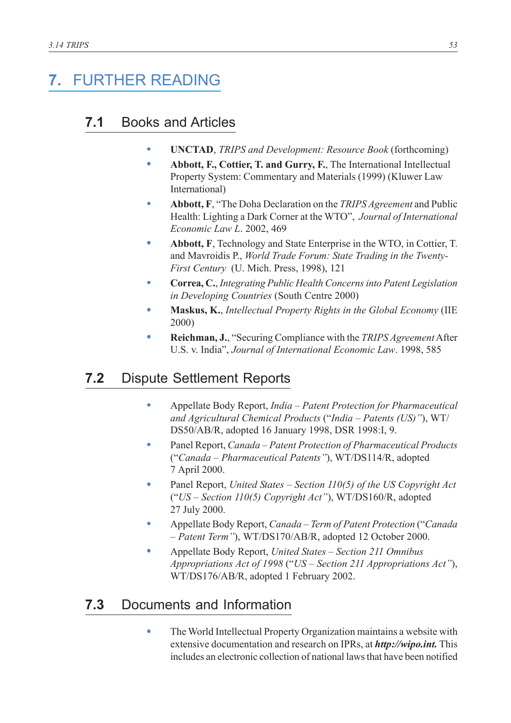## **7.** FURTHER READING

### **7.1** Books and Articles

- **UNCTAD**, *TRIPS and Development: Resource Book* (forthcoming)
- **Abbott, F., Cottier, T. and Gurry, F.**, The International Intellectual Property System: Commentary and Materials (1999) (Kluwer Law International)
- **Abbott, F**, "The Doha Declaration on the *TRIPS Agreement* and Public Health: Lighting a Dark Corner at the WTO", *Journal of International Economic Law L*. 2002, 469
- **Abbott, F**, Technology and State Enterprise in the WTO, in Cottier, T. and Mavroidis P., *World Trade Forum: State Trading in the Twenty-First Century* (U. Mich. Press, 1998), 121
- **Correa, C.**, *Integrating Public Health Concerns into Patent Legislation in Developing Countries* (South Centre 2000)
- **Maskus, K.**, *Intellectual Property Rights in the Global Economy* (IIE 2000)
- **Reichman, J.**, "Securing Compliance with the *TRIPS Agreement* After U.S. v. India", *Journal of International Economic Law*. 1998, 585

### **7.2** Dispute Settlement Reports

- Appellate Body Report, *India Patent Protection for Pharmaceutical and Agricultural Chemical Products* ("*India – Patents (US)"*), WT/ DS50/AB/R, adopted 16 January 1998, DSR 1998:I, 9.
- Panel Report, *Canada Patent Protection of Pharmaceutical Products* ("*Canada – Pharmaceutical Patents"*), WT/DS114/R, adopted 7 April 2000.
- Panel Report, *United States Section 110(5) of the US Copyright Act* ("*US – Section 110(5) Copyright Act"*), WT/DS160/R, adopted 27 July 2000.
- Appellate Body Report, *Canada Term of Patent Protection* ("*Canada – Patent Term"*), WT/DS170/AB/R, adopted 12 October 2000.
- Appellate Body Report, *United States Section 211 Omnibus Appropriations Act of 1998* ("*US – Section 211 Appropriations Act"*), WT/DS176/AB/R, adopted 1 February 2002.

### **7.3** Documents and Information

• The World Intellectual Property Organization maintains a website with extensive documentation and research on IPRs, at *http://wipo.int.* This includes an electronic collection of national laws that have been notified